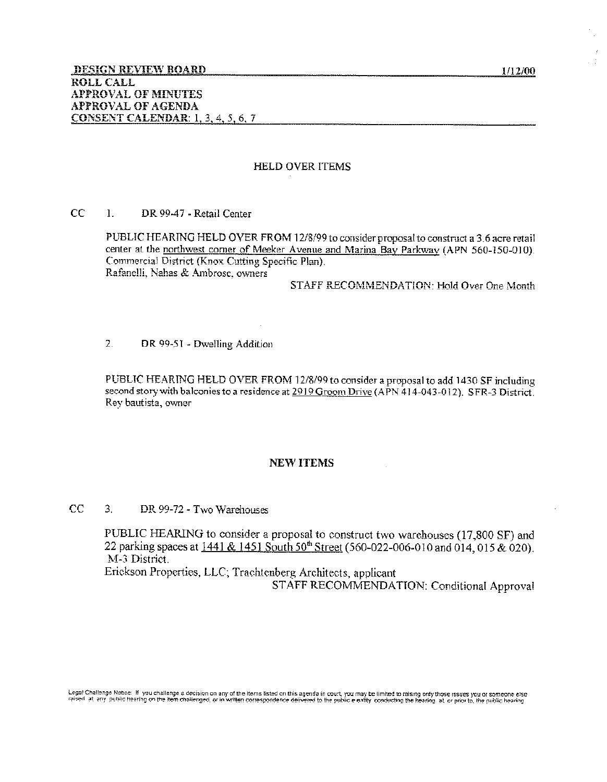## **HELD OVER ITEMS**

 $CC$  $\mathbf{1}$ . DR 99-47 - Retail Center

> PUBLIC HEARING HELD OVER FROM 12/8/99 to consider proposal to construct a 3.6 acre retail center at the northwest corner of Meeker Avenue and Marina Bay Parkway (APN 560-150-010). Commercial District (Knox Cutting Specific Plan). Rafanelli, Nahas & Ambrose, owners

> > STAFF RECOMMENDATION: Hold Over One Month

 $2<sub>1</sub>$ DR 99-51 - Dwelling Addition

PUBLIC HEARING HELD OVER FROM 12/8/99 to consider a proposal to add 1430 SF including second story with balconies to a residence at 2919 Groom Drive (APN 414-043-012). SFR-3 District. Rey bautista, owner

# **NEW ITEMS**

CC. 3. DR 99-72 - Two Warehouses

> PUBLIC HEARING to consider a proposal to construct two warehouses (17,800 SF) and 22 parking spaces at 1441 & 1451 South 50<sup>th</sup> Street (560-022-006-010 and 014, 015 & 020). M-3 District.

Erickson Properties, LLC; Trachtenberg Architects, applicant

STAFF RECOMMENDATION: Conditional Approval

1/12/00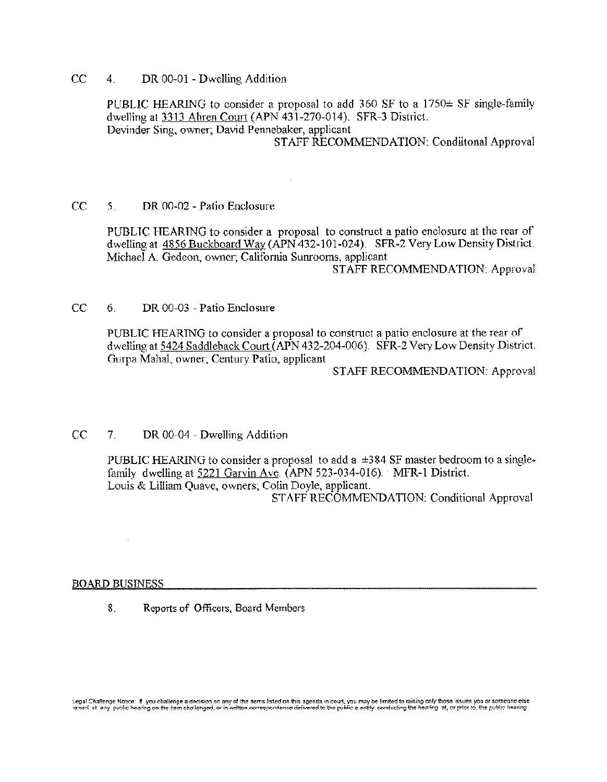$CC$  $\overline{4}$ . DR 00-01 - Dwelling Addition

> PUBLIC HEARING to consider a proposal to add 360 SF to a  $1750 \pm S$ F single-family dwelling at 3313 Ahren Court (APN 431-270-014). SFR-3 District. Devinder Sing, owner; David Pennebaker, applicant STAFF RECOMMENDATION: Condiitonal Approval

> > $\sim 10$

#### $CC$ DR 00-02 - Patio Enclosure 5.

PUBLIC HEARING to consider a proposal to construct a patio enclosure at the rear of dwelling at 4856 Buckboard Way (APN 432-101-024). SFR-2 Very Low Density District. Michael A. Gedeon, owner; California Sunrooms, applicant

STAFF RECOMMENDATION: Approval

 $CC$ 6. DR 00-03 - Patio Enclosure

> PUBLIC HEARING to consider a proposal to construct a patio enclosure at the rear of dwelling at 5424 Saddleback Court (APN 432-204-006). SFR-2 Very Low Density District. Gurpa Mahal, owner; Century Patio, applicant

STAFF RECOMMENDATION: Approval

 $CC$  $7.$ DR 00-04 - Dwelling Addition

> PUBLIC HEARING to consider a proposal to add a  $\pm 384$  SF master bedroom to a singlefamily dwelling at 5221 Garvin Ave. (APN 523-034-016). MFR-1 District. Louis & Lilliam Quave, owners; Colin Doyle, applicant. STAFF RECOMMENDATION: Conditional Approval

### **BOARD BUSINESS**

 $\sim$ 

8. Reports of Officers, Board Members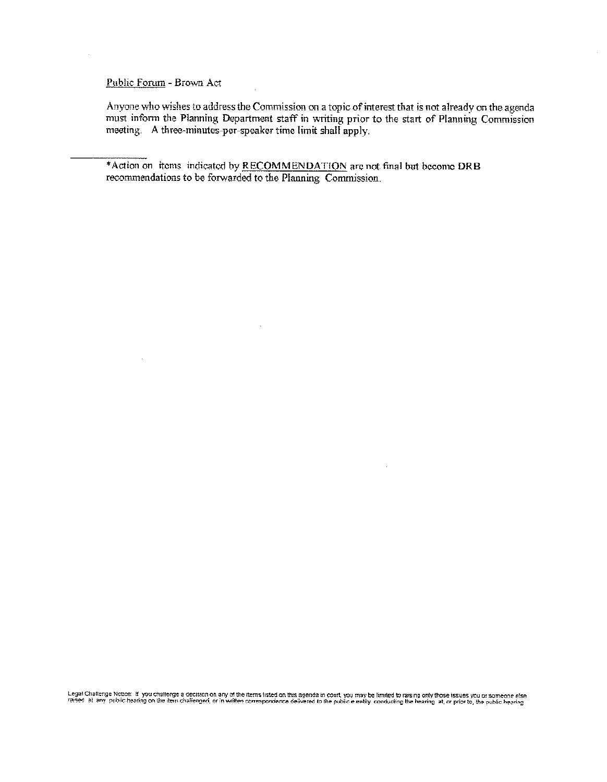# Public Forum - Brown Act

 $\bar{z}$ 

Anyone who wishes to address the Commission on a topic of interest that is not already on the agenda must inform the Planning Department staff in writing prior to the start of Planning Commission meeting. A three-minutes-per-speaker time limit shall apply.

 $\sim$ 

\*Action on items indicated by RECOMMENDATION are not final but become DRB recommendations to be forwarded to the Planning Commission.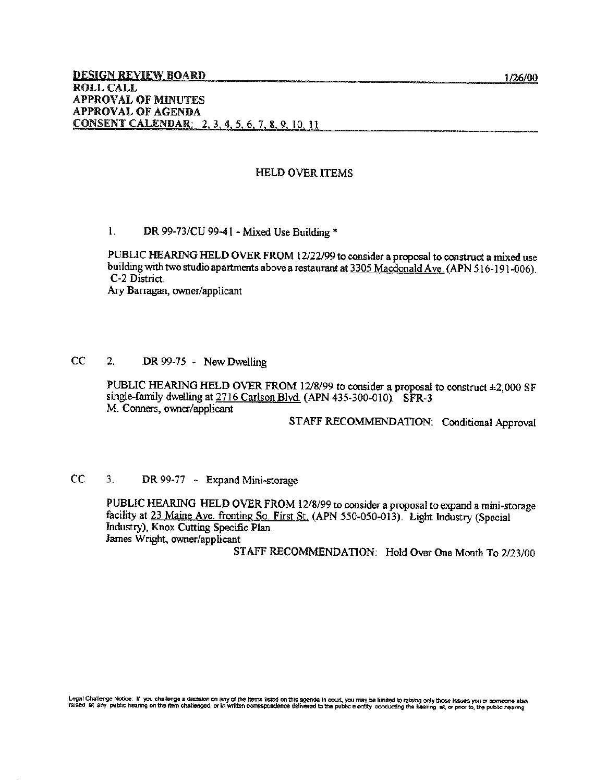### **HELD OVER ITEMS**

#### $\mathbf{l}$ . DR 99-73/CU 99-41 - Mixed Use Building \*

PUBLIC HEARING HELD OVER FROM 12/22/99 to consider a proposal to construct a mixed use building with two studio apartments above a restaurant at 3305 Macdonald Ave. (APN 516-191-006). C-2 District. Ary Barragan, owner/applicant

#### $cc$  $2.$ DR 99-75 - New Dwelling

PUBLIC HEARING HELD OVER FROM 12/8/99 to consider a proposal to construct ±2,000 SF single-family dwelling at 2716 Carlson Blvd. (APN 435-300-010). SFR-3 M. Conners, owner/applicant

STAFF RECOMMENDATION: Conditional Approval

#### $\overline{c}c$  $3<sub>1</sub>$ DR 99-77 - Expand Mini-storage

PUBLIC HEARING HELD OVER FROM 12/8/99 to consider a proposal to expand a mini-storage facility at 23 Maine Ave. fronting So. First St. (APN 550-050-013). Light Industry (Special Industry), Knox Cutting Specific Plan. James Wright, owner/applicant

STAFF RECOMMENDATION: Hold Over One Month To 2/23/00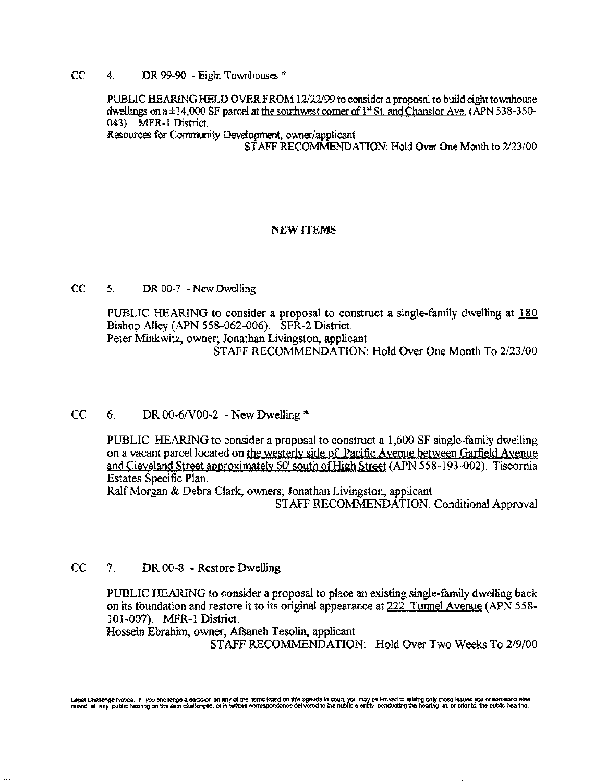$cc$ DR 99-90 - Eight Townhouses \* 4.

> PUBLIC HEARING HELD OVER FROM 12/22/99 to consider a proposal to build eight townhouse dwellings on a  $\pm$ 14,000 SF parcel at the southwest corner of 1<sup>st</sup> St. and Chanslor Ave. (APN 538-350-043). MFR-1 District.

Resources for Community Development, owner/applicant

STAFF RECOMMENDATION: Hold Over One Month to 2/23/00

#### **NEW ITEMS**

 $cc$ 5. DR 00-7 - New Dwelling

> PUBLIC HEARING to consider a proposal to construct a single-family dwelling at 180 Bishop Alley (APN 558-062-006). SFR-2 District. Peter Minkwitz, owner; Jonathan Livingston, applicant STAFF RECOMMENDATION: Hold Over One Month To 2/23/00

 $CC$ 6. DR 00-6/V00-2 - New Dwelling \*

> PUBLIC HEARING to consider a proposal to construct a 1,600 SF single-family dwelling on a vacant parcel located on the westerly side of Pacific Avenue between Garfield Avenue and Cleveland Street approximately 60' south of High Street (APN 558-193-002). Tiscornia Estates Specific Plan. Ralf Morgan & Debra Clark, owners, Jonathan Livingston, applicant

STAFF RECOMMENDATION: Conditional Approval

 $_{\rm CC}$  $7<sub>1</sub>$ DR 00-8 - Restore Dwelling

> PUBLIC HEARING to consider a proposal to place an existing single-family dwelling back on its foundation and restore it to its original appearance at 222 Tunnel Avenue (APN 558-101-007). MFR-1 District.

Hossein Ebrahim, owner; Afsaneh Tesolin, applicant

STAFF RECOMMENDATION: Hold Over Two Weeks To 2/9/00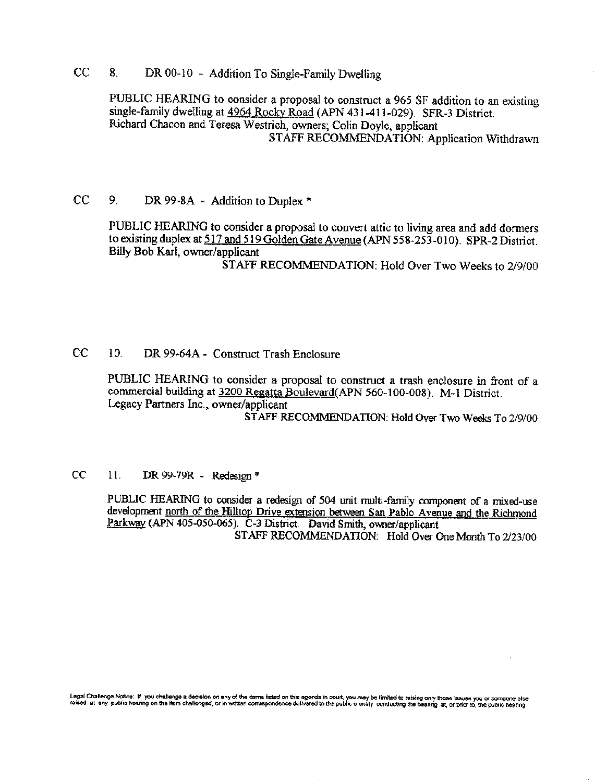$CC$ 8. DR 00-10 - Addition To Single-Family Dwelling

> PUBLIC HEARING to consider a proposal to construct a 965 SF addition to an existing single-family dwelling at 4964 Rocky Road (APN 431-411-029). SFR-3 District. Richard Chacon and Teresa Westrich, owners; Colin Doyle, applicant STAFF RECOMMENDATION: Application Withdrawn

 $CC$ 9. DR 99-8A - Addition to Duplex \*

> PUBLIC HEARING to consider a proposal to convert attic to living area and add dormers to existing duplex at 517 and 519 Golden Gate Avenue (APN 558-253-010). SPR-2 District. Billy Bob Karl, owner/applicant

STAFF RECOMMENDATION: Hold Over Two Weeks to 2/9/00

 $CC$  $10.$ DR 99-64A - Construct Trash Enclosure

> PUBLIC HEARING to consider a proposal to construct a trash enclosure in front of a commercial building at 3200 Regatta Boulevard(APN 560-100-008). M-1 District. Legacy Partners Inc., owner/applicant

STAFF RECOMMENDATION: Hold Over Two Weeks To 2/9/00

**CC** 11. DR 99-79R - Redesign  $*$ 

> PUBLIC HEARING to consider a redesign of 504 unit multi-family component of a mixed-use development north of the Hilltop Drive extension between San Pablo Avenue and the Richmond Parkway (APN 405-050-065). C-3 District. David Smith, owner/applicant STAFF RECOMMENDATION: Hold Over One Month To 2/23/00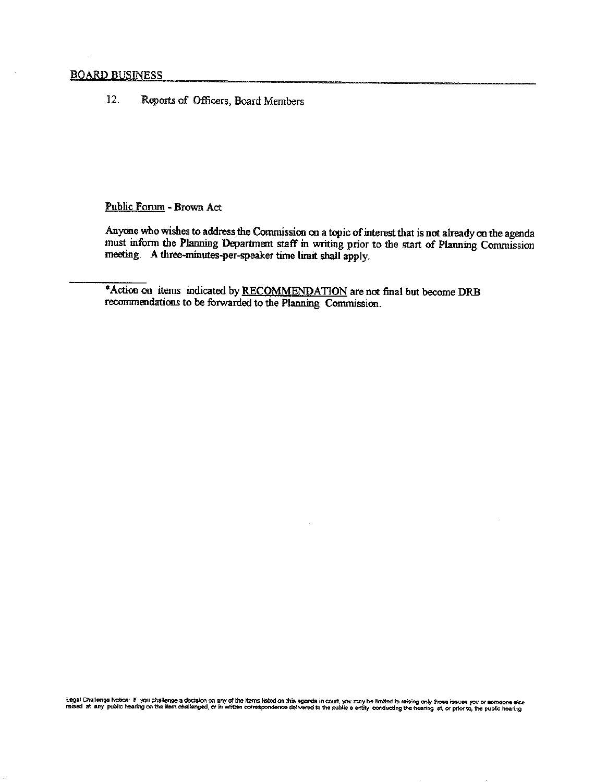## **BOARD BUSINESS**

 $12.$ Reports of Officers, Board Members

Public Forum - Brown Act

Anyone who wishes to address the Commission on a topic of interest that is not already on the agenda must inform the Planning Department staff in writing prior to the start of Planning Commission meeting. A three-minutes-per-speaker time limit shall apply.

\*Action on items indicated by RECOMMENDATION are not final but become DRB recommendations to be forwarded to the Planning Commission.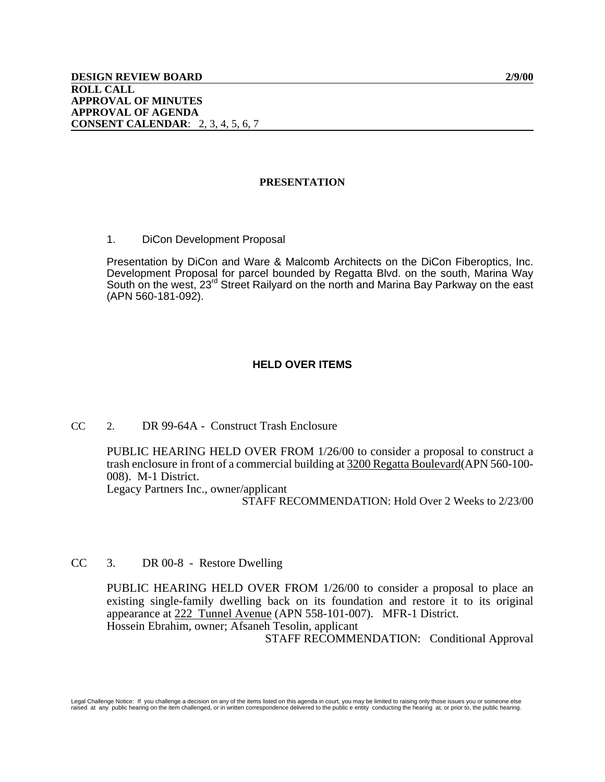### **PRESENTATION**

1. DiCon Development Proposal

Presentation by DiCon and Ware & Malcomb Architects on the DiCon Fiberoptics, Inc. Development Proposal for parcel bounded by Regatta Blvd. on the south, Marina Way South on the west, 23rd Street Railyard on the north and Marina Bay Parkway on the east (APN 560-181-092).

# **HELD OVER ITEMS**

CC 2. DR 99-64A - Construct Trash Enclosure

PUBLIC HEARING HELD OVER FROM 1/26/00 to consider a proposal to construct a trash enclosure in front of a commercial building at 3200 Regatta Boulevard(APN 560-100- 008). M-1 District.

Legacy Partners Inc., owner/applicant

STAFF RECOMMENDATION: Hold Over 2 Weeks to 2/23/00

CC 3. DR 00-8 - Restore Dwelling

PUBLIC HEARING HELD OVER FROM 1/26/00 to consider a proposal to place an existing single-family dwelling back on its foundation and restore it to its original appearance at 222 Tunnel Avenue (APN 558-101-007). MFR-1 District. Hossein Ebrahim, owner; Afsaneh Tesolin, applicant

STAFF RECOMMENDATION: Conditional Approval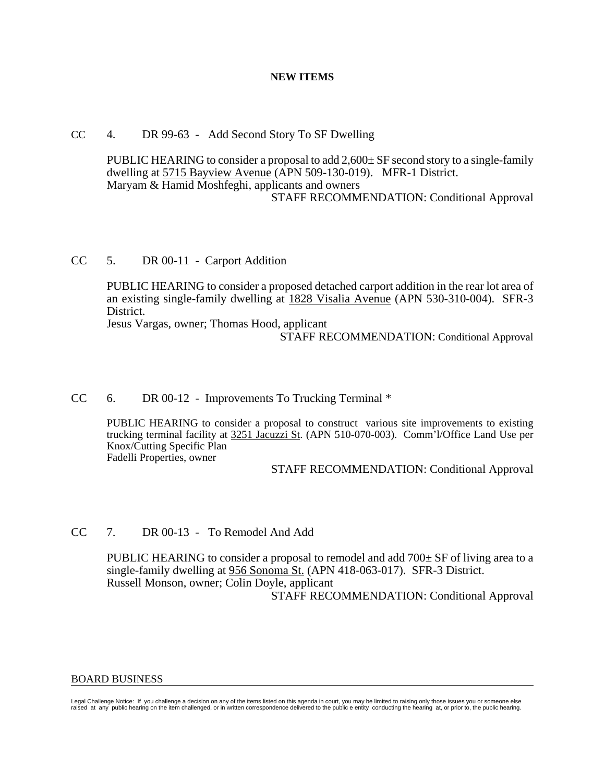## **NEW ITEMS**

# CC 4. DR 99-63 - Add Second Story To SF Dwelling

PUBLIC HEARING to consider a proposal to add 2,600± SF second story to a single-family dwelling at 5715 Bayview Avenue (APN 509-130-019). MFR-1 District. Maryam & Hamid Moshfeghi, applicants and owners STAFF RECOMMENDATION: Conditional Approval

# CC 5. DR 00-11 - Carport Addition

PUBLIC HEARING to consider a proposed detached carport addition in the rear lot area of an existing single-family dwelling at 1828 Visalia Avenue (APN 530-310-004). SFR-3 District.

Jesus Vargas, owner; Thomas Hood, applicant STAFF RECOMMENDATION: Conditional Approval

# CC 6. DR 00-12 - Improvements To Trucking Terminal  $*$

PUBLIC HEARING to consider a proposal to construct various site improvements to existing trucking terminal facility at 3251 Jacuzzi St. (APN 510-070-003). Comm'l/Office Land Use per Knox/Cutting Specific Plan Fadelli Properties, owner

# STAFF RECOMMENDATION: Conditional Approval

# CC 7. DR 00-13 - To Remodel And Add

PUBLIC HEARING to consider a proposal to remodel and add  $700\pm$  SF of living area to a single-family dwelling at 956 Sonoma St. (APN 418-063-017). SFR-3 District. Russell Monson, owner; Colin Doyle, applicant STAFF RECOMMENDATION: Conditional Approval

### BOARD BUSINESS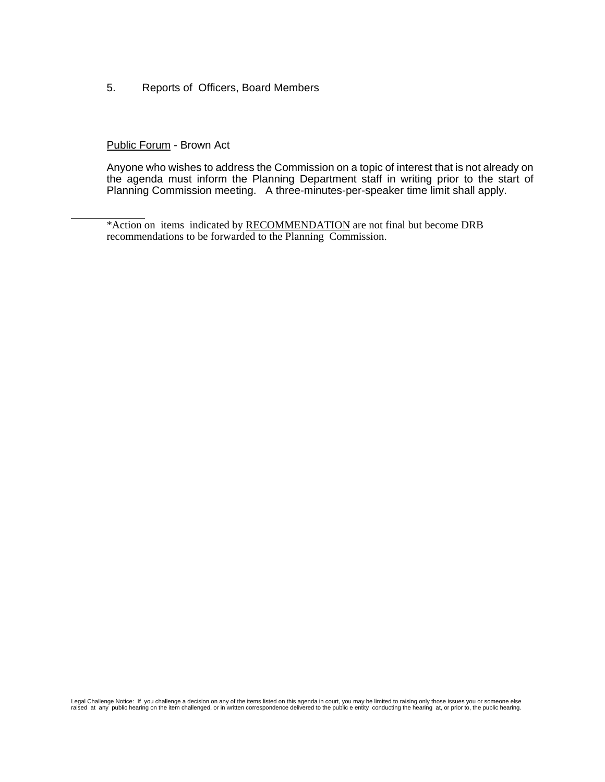5. Reports of Officers, Board Members

## Public Forum - Brown Act

l

Anyone who wishes to address the Commission on a topic of interest that is not already on the agenda must inform the Planning Department staff in writing prior to the start of Planning Commission meeting. A three-minutes-per-speaker time limit shall apply.

<sup>\*</sup>Action on items indicated by **RECOMMENDATION** are not final but become DRB recommendations to be forwarded to the Planning Commission.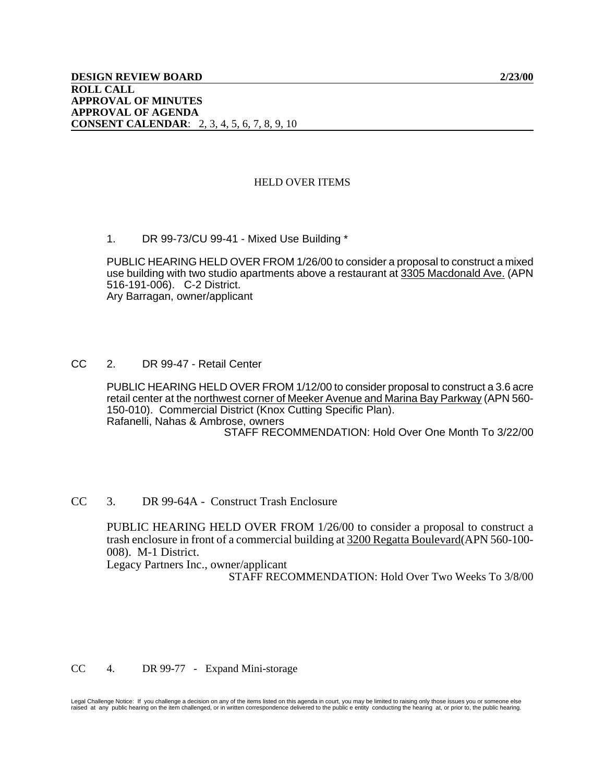## HELD OVER ITEMS

1. DR 99-73/CU 99-41 - Mixed Use Building \*

PUBLIC HEARING HELD OVER FROM 1/26/00 to consider a proposal to construct a mixed use building with two studio apartments above a restaurant at 3305 Macdonald Ave. (APN 516-191-006). C-2 District. Ary Barragan, owner/applicant

# CC 2. DR 99-47 - Retail Center

PUBLIC HEARING HELD OVER FROM 1/12/00 to consider proposal to construct a 3.6 acre retail center at the northwest corner of Meeker Avenue and Marina Bay Parkway (APN 560- 150-010). Commercial District (Knox Cutting Specific Plan). Rafanelli, Nahas & Ambrose, owners STAFF RECOMMENDATION: Hold Over One Month To 3/22/00

# CC 3. DR 99-64A - Construct Trash Enclosure

PUBLIC HEARING HELD OVER FROM 1/26/00 to consider a proposal to construct a trash enclosure in front of a commercial building at 3200 Regatta Boulevard(APN 560-100- 008). M-1 District.

Legacy Partners Inc., owner/applicant

STAFF RECOMMENDATION: Hold Over Two Weeks To 3/8/00

### CC 4. DR 99-77 - Expand Mini-storage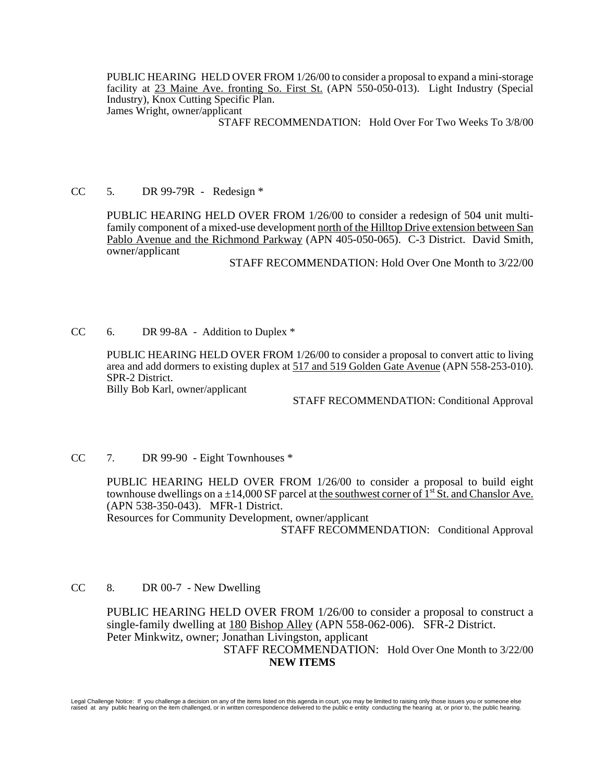PUBLIC HEARING HELD OVER FROM 1/26/00 to consider a proposal to expand a mini-storage facility at 23 Maine Ave. fronting So. First St. (APN 550-050-013). Light Industry (Special Industry), Knox Cutting Specific Plan. James Wright, owner/applicant

STAFF RECOMMENDATION: Hold Over For Two Weeks To 3/8/00

### $CC$  5. DR 99-79R - Redesign  $*$

PUBLIC HEARING HELD OVER FROM 1/26/00 to consider a redesign of 504 unit multifamily component of a mixed-use development north of the Hilltop Drive extension between San Pablo Avenue and the Richmond Parkway (APN 405-050-065). C-3 District. David Smith, owner/applicant

STAFF RECOMMENDATION: Hold Over One Month to 3/22/00

# CC 6. DR 99-8A - Addition to Duplex \*

PUBLIC HEARING HELD OVER FROM 1/26/00 to consider a proposal to convert attic to living area and add dormers to existing duplex at 517 and 519 Golden Gate Avenue (APN 558-253-010). SPR-2 District. Billy Bob Karl, owner/applicant

STAFF RECOMMENDATION: Conditional Approval

# $CC$  7. DR 99-90 - Eight Townhouses  $*$

PUBLIC HEARING HELD OVER FROM 1/26/00 to consider a proposal to build eight townhouse dwellings on a  $\pm 14,000$  SF parcel at the southwest corner of  $1<sup>st</sup>$  St. and Chanslor Ave. (APN 538-350-043). MFR-1 District. Resources for Community Development, owner/applicant

STAFF RECOMMENDATION: Conditional Approval

# CC 8. DR 00-7 - New Dwelling

PUBLIC HEARING HELD OVER FROM 1/26/00 to consider a proposal to construct a single-family dwelling at 180 Bishop Alley (APN 558-062-006). SFR-2 District. Peter Minkwitz, owner; Jonathan Livingston, applicant STAFF RECOMMENDATION: Hold Over One Month to 3/22/00 **NEW ITEMS**

Legal Challenge Notice: If you challenge a decision on any of the items listed on this agenda in court, you may be limited to raising only those issues you or someone else<br>raised at any public hearing on the item challenge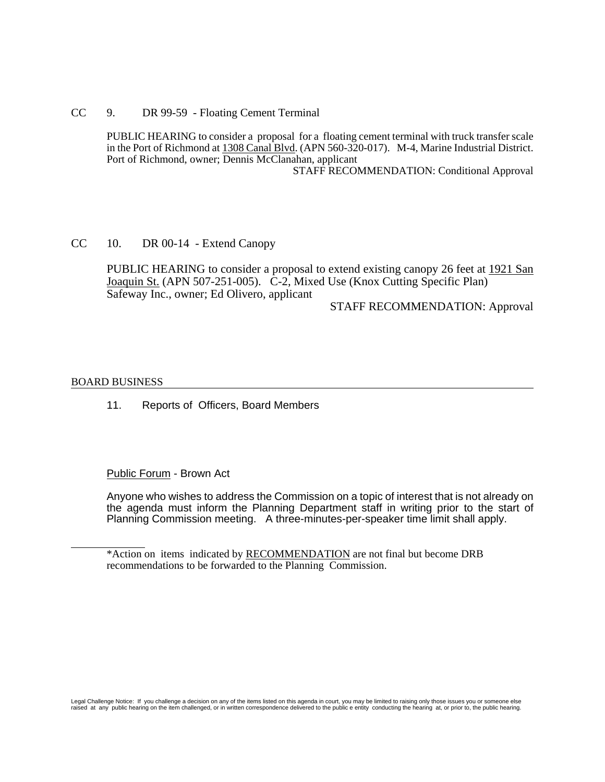#### CC 9. DR 99-59 - Floating Cement Terminal

PUBLIC HEARING to consider a proposal for a floating cement terminal with truck transfer scale in the Port of Richmond at 1308 Canal Blvd. (APN 560-320-017). M-4, Marine Industrial District. Port of Richmond, owner; Dennis McClanahan, applicant

STAFF RECOMMENDATION: Conditional Approval

# CC 10. DR 00-14 - Extend Canopy

PUBLIC HEARING to consider a proposal to extend existing canopy 26 feet at 1921 San Joaquin St. (APN 507-251-005). C-2, Mixed Use (Knox Cutting Specific Plan) Safeway Inc., owner; Ed Olivero, applicant

STAFF RECOMMENDATION: Approval

### BOARD BUSINESS

l

11. Reports of Officers, Board Members

### Public Forum - Brown Act

Anyone who wishes to address the Commission on a topic of interest that is not already on the agenda must inform the Planning Department staff in writing prior to the start of Planning Commission meeting. A three-minutes-per-speaker time limit shall apply.

\*Action on items indicated by RECOMMENDATION are not final but become DRB recommendations to be forwarded to the Planning Commission.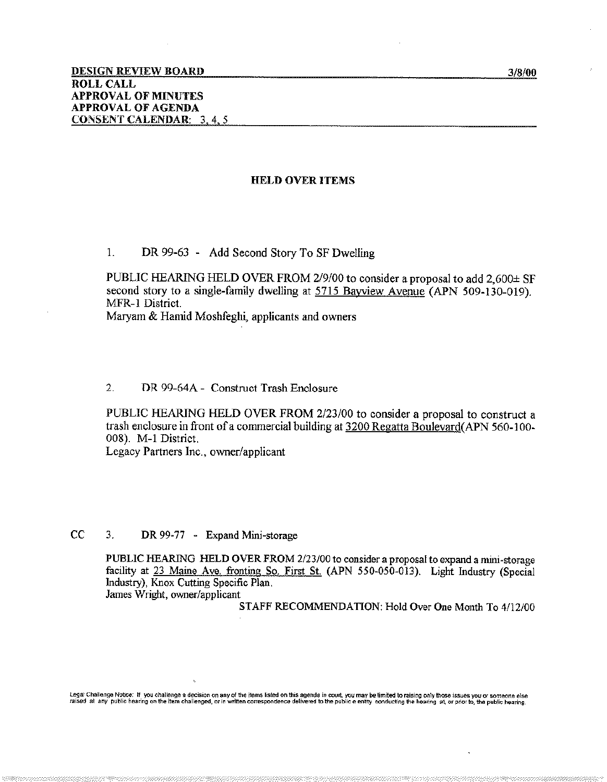#### **HELD OVER ITEMS**

 $\mathbf{1}$ . DR 99-63 - Add Second Story To SF Dwelling

PUBLIC HEARING HELD OVER FROM 2/9/00 to consider a proposal to add 2,600± SF second story to a single-family dwelling at 5715 Bayview Avenue (APN 509-130-019). MFR-1 District.

Maryam & Hamid Moshfeghi, applicants and owners

#### DR 99-64A - Construct Trash Enclosure  $2.$

PUBLIC HEARING HELD OVER FROM 2/23/00 to consider a proposal to construct a trash enclosure in front of a commercial building at 3200 Regatta Boulevard (APN 560-100-008). M-1 District.

Legacy Partners Inc., owner/applicant

#### $CC$  $3.$ DR 99-77 - Expand Mini-storage

PUBLIC HEARING HELD OVER FROM 2/23/00 to consider a proposal to expand a mini-storage facility at 23 Maine Ave. fronting So. First St. (APN 550-050-013). Light Industry (Special Industry), Knox Cutting Specific Plan. James Wright, owner/applicant

STAFF RECOMMENDATION: Hold Over One Month To 4/12/00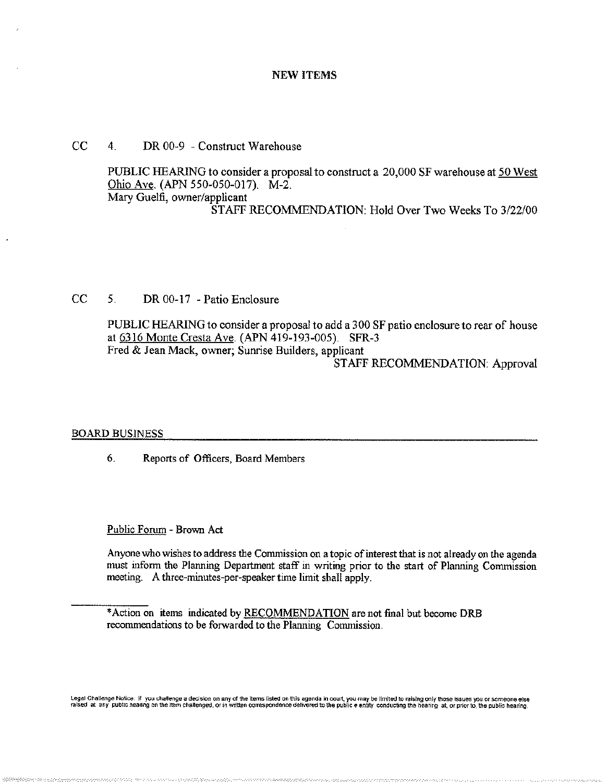### **NEW ITEMS**

#### $CC$ DR 00-9 - Construct Warehouse  $4<sub>1</sub>$

PUBLIC HEARING to consider a proposal to construct a 20,000 SF warehouse at 50 West Ohio Ave. (APN 550-050-017). M-2. Mary Guelfi, owner/applicant

STAFF RECOMMENDATION: Hold Over Two Weeks To 3/22/00

 $CC$  $5<sub>1</sub>$ DR 00-17 - Patio Enclosure

> PUBLIC HEARING to consider a proposal to add a 300 SF patio enclosure to rear of house at 6316 Monte Cresta Ave. (APN 419-193-005). SFR-3 Fred & Jean Mack, owner; Sunrise Builders, applicant

STAFF RECOMMENDATION: Approval

### **BOARD BUSINESS**

6. Reports of Officers, Board Members

Public Forum - Brown Act

Anyone who wishes to address the Commission on a topic of interest that is not already on the agenda must inform the Planning Department staff in writing prior to the start of Planning Commission meeting. A three-minutes-per-speaker time limit shall apply.

<sup>\*</sup>Action on items indicated by RECOMMENDATION are not final but become DRB recommendations to be forwarded to the Planning Commission.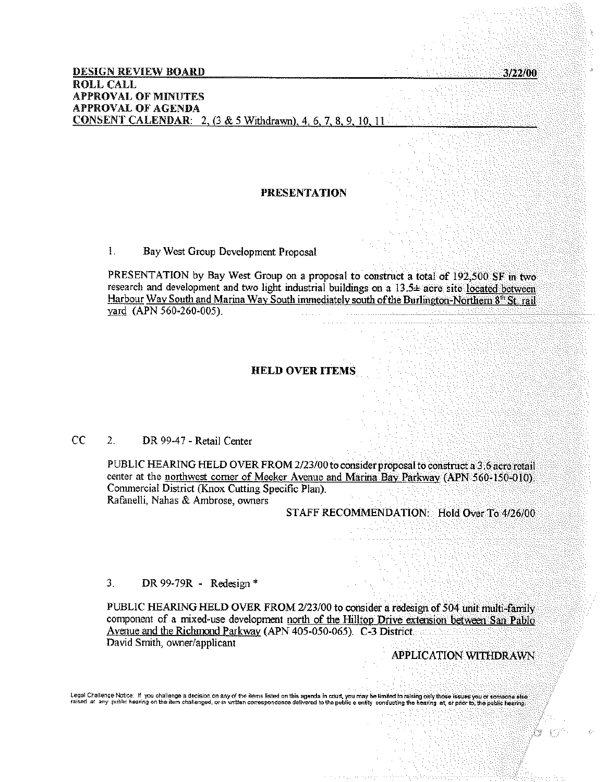**DESIGN REVIEW BOARD** 

**ROLL CALL APPROVAL OF MINUTES APPROVAL OF AGENDA CONSENT CALENDAR:** 2,  $(3 \& 5 \text{ Without})$ , 4, 6, 7, 8, 9, 10, 11

### **PRESENTATION**

1. Bay West Group Development Proposal

PRESENTATION by Bay West Group on a proposal to construct a total of 192,500 SF in two research and development and two light industrial buildings on a 13.5± acre site located between Harbour Way South and Marina Way South immediately south of the Burlington-Northern 8<sup>th</sup> St. rail yard (APN 560-260-005).

# **HELD OVER ITEMS**

 $cc$  $2.$ DR 99-47 - Retail Center

> PUBLIC HEARING HELD OVER FROM 2/23/00 to consider proposal to construct a 3.6 acre retail center at the northwest corner of Meeker Avenue and Marina Bay Parkway (APN 560-150-010). Commercial District (Knox Cutting Specific Plan). Rafanelli, Nahas & Ambrose, owners

> > STAFF RECOMMENDATION: Hold Over To 4/26/00

 $3<sub>1</sub>$ DR 99-79R - Redesign \*

PUBLIC HEARING HELD OVER FROM 2/23/00 to consider a redesign of 504 unit multi-family component of a mixed-use development north of the Hilltop Drive extension between San Pablo Avenue and the Richmond Parkway (APN 405-050-065). C-3 District. David Smith, owner/applicant

**APPLICATION WITHDRAWN** 

3/22/00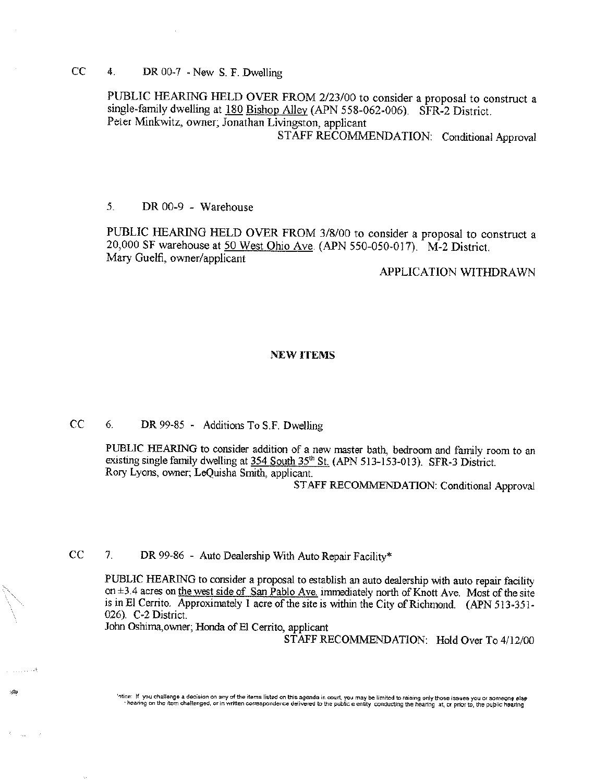#### $CC$  $\ddot{4}$ . DR 00-7 - New S. F. Dwelling

PUBLIC HEARING HELD OVER FROM 2/23/00 to consider a proposal to construct a single-family dwelling at 180 Bishop Alley (APN 558-062-006). SFR-2 District. Peter Minkwitz, owner; Jonathan Livingston, applicant

STAFF RECOMMENDATION: Conditional Approval

5. DR 00-9 - Warehouse

PUBLIC HEARING HELD OVER FROM 3/8/00 to consider a proposal to construct a 20,000 SF warehouse at 50 West Ohio Ave. (APN 550-050-017). M-2 District. Mary Guelfi, owner/applicant

# APPLICATION WITHDRAWN

## **NEW ITEMS**

 $CC$ 6. DR 99-85 - Additions To S.F. Dwelling

> PUBLIC HEARING to consider addition of a new master bath, bedroom and family room to an existing single family dwelling at 354 South 35th St. (APN 513-153-013). SFR-3 District. Rory Lyons, owner; LeQuisha Smith, applicant.

STAFF RECOMMENDATION: Conditional Approval

 $cc$  $7_{\cdot}$ DR 99-86 - Auto Dealership With Auto Repair Facility\*

> PUBLIC HEARING to consider a proposal to establish an auto dealership with auto repair facility on ±3.4 acres on the west side of San Pablo Ave. immediately north of Knott Ave. Most of the site is in El Cerrito. Approximately 1 acre of the site is within the City of Richmond. (APN 513-351-026). C-2 District.

John Oshima, owner; Honda of El Cerrito, applicant

فتباديني

STAFF RECOMMENDATION: Hold Over To 4/12/00

otice: If you challenge a decision on any of the items listed on this agenda in court, you may be limited to raising only those issues you or someone else<br>hearing on the item challenged, or in written correspondence delive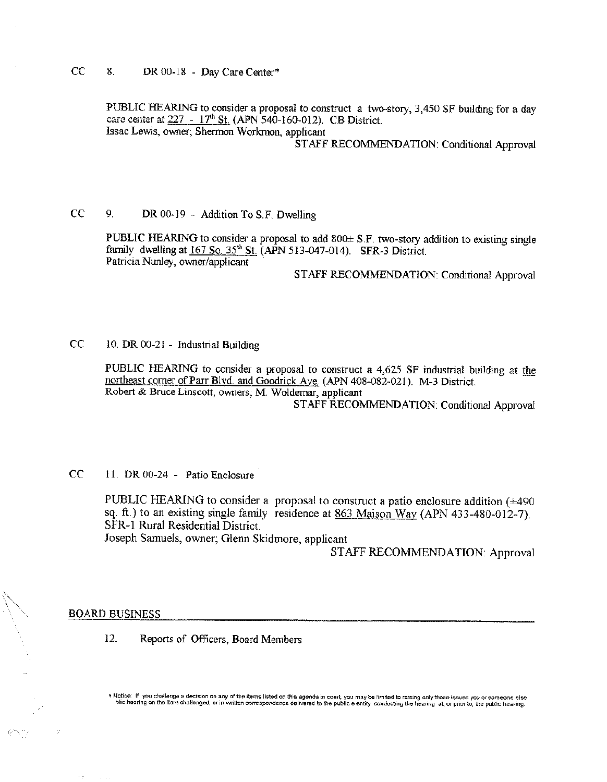PUBLIC HEARING to consider a proposal to construct a two-story, 3,450 SF building for a day care center at 227 - 17<sup>th</sup> St. (APN 540-160-012). CB District. Issac Lewis, owner, Shermon Workmon, applicant

STAFF RECOMMENDATION: Conditional Approval

 $CC$ 9. DR 00-19 - Addition To S.F. Dwelling

> PUBLIC HEARING to consider a proposal to add 800± S.F. two-story addition to existing single family dwelling at  $167$  So.  $35<sup>th</sup>$  St. (APN 513-047-014). SFR-3 District. Patricia Nunley, owner/applicant

STAFF RECOMMENDATION: Conditional Approval

 $CC$ 10. DR 00-21 - Industrial Building

> PUBLIC HEARING to consider a proposal to construct a 4,625 SF industrial building at the northeast corner of Parr Blvd. and Goodrick Ave. (APN 408-082-021). M-3 District. Robert & Bruce Linscott, owners, M. Woldemar, applicant STAFF RECOMMENDATION: Conditional Approval

 $CC$ 11. DR 00-24 - Patio Enclosure

> PUBLIC HEARING to consider a proposal to construct a patio enclosure addition  $(\pm 490$ sq. ft.) to an existing single family residence at 863 Maison Way (APN 433-480-012-7). SFR-1 Rural Residential District. Joseph Samuels, owner; Glenn Skidmore, applicant

> > STAFF RECOMMENDATION: Approval

### **BOARD BUSINESS**

 $12.$ Reports of Officers, Board Members

e Notice: if you challenge a decision on any of the items listed on this agenda in court, you may be limited to raising only those issues you or someone else<br>. Nic hearing on the item challenged, or in written corresponden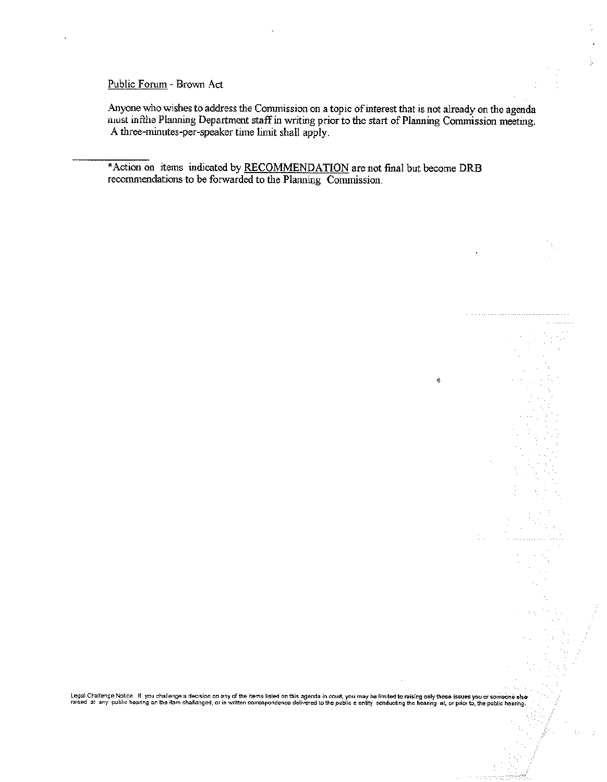Public Forum - Brown Act

Anyone who wishes to address the Commission on a topic of interest that is not already on the agenda must infilie Planning Department staff in writing prior to the start of Planning Commission meeting. A three-minutes-per-speaker time limit shall apply.

ą.

\*Action on items indicated by RECOMMENDATION are not final but become DRB recommendations to be forwarded to the Planning Commission.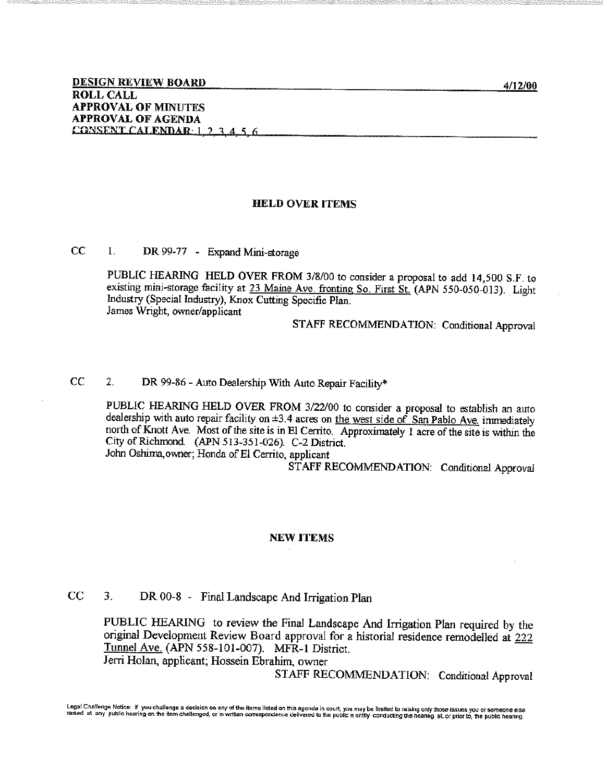#### **HELD OVER ITEMS**

 $cc$  $\mathbf{1}$ . DR 99-77 - Expand Mini-storage

> PUBLIC HEARING HELD OVER FROM 3/8/00 to consider a proposal to add 14,500 S.F. to existing mini-storage facility at 23 Maine Ave. fronting So. First St. (APN 550-050-013). Light Industry (Special Industry), Knox Cutting Specific Plan. James Wright, owner/applicant

> > STAFF RECOMMENDATION: Conditional Approval

 $CC$  $2.$ DR 99-86 - Auto Dealership With Auto Repair Facility\*

> PUBLIC HEARING HELD OVER FROM 3/22/00 to consider a proposal to establish an auto dealership with auto repair facility on  $\pm 3.4$  acres on the west side of San Pablo Ave. immediately north of Knott Ave. Most of the site is in El Cerrito. Approximately 1 acre of the site is within the City of Richmond. (APN 513-351-026). C-2 District. John Oshima, owner; Honda of El Cerrito, applicant

STAFF RECOMMENDATION: Conditional Approval

### **NEW ITEMS**

 $CC$ DR 00-8 - Final Landscape And Irrigation Plan 3.

> PUBLIC HEARING to review the Final Landscape And Irrigation Plan required by the original Development Review Board approval for a historial residence remodelled at 222 Tunnel Ave. (APN 558-101-007). MFR-1 District. Jerri Holan, applicant; Hossein Ebrahim, owner

> > STAFF RECOMMENDATION: Conditional Approval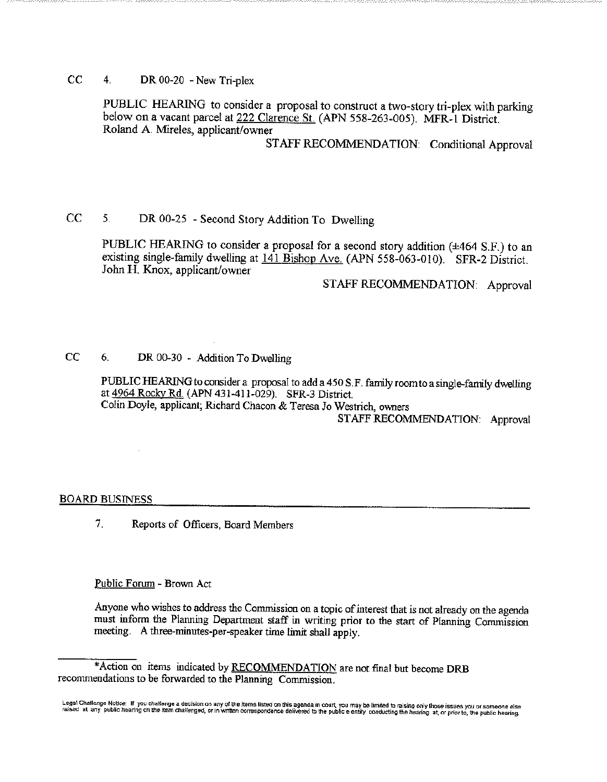$CC$  $4.$ DR 00-20 - New Tri-plex

> PUBLIC HEARING to consider a proposal to construct a two-story tri-plex with parking below on a vacant parcel at 222 Clarence St. (APN 558-263-005). MFR-1 District. Roland A. Mireles, applicant/owner

STAFF RECOMMENDATION: Conditional Approval

 $cc$  $5<sub>1</sub>$ DR 00-25 - Second Story Addition To Dwelling

> PUBLIC HEARING to consider a proposal for a second story addition (±464 S.F.) to an existing single-family dwelling at 141 Bishop Ave. (APN 558-063-010). SFR-2 District. John H. Knox, applicant/owner

> > STAFF RECOMMENDATION: Approval

#### $CC$ 6. DR 00-30 - Addition To Dwelling

PUBLIC HEARING to consider a proposal to add a 450 S.F. family room to a single-family dwelling at 4964 Rocky Rd. (APN 431-411-029). SFR-3 District. Colin Doyle, applicant, Richard Chacon & Teresa Jo Westrich, owners

STAFF RECOMMENDATION: Approval

### **BOARD BUSINESS**

 $7<sub>1</sub>$ Reports of Officers, Board Members

Public Forum - Brown Act

Anyone who wishes to address the Commission on a topic of interest that is not already on the agenda must inform the Planning Department staff in writing prior to the start of Planning Commission meeting. A three-minutes-per-speaker time limit shall apply.

\*Action on items indicated by RECOMMENDATION are not final but become DRB recommendations to be forwarded to the Planning Commission.

Legal Challenge Notice: If you challenge a decision on any of the items listed on this agenda in court, you may be limited to raising only those issues you or someone else<br>raised at any public hearing on the item challenge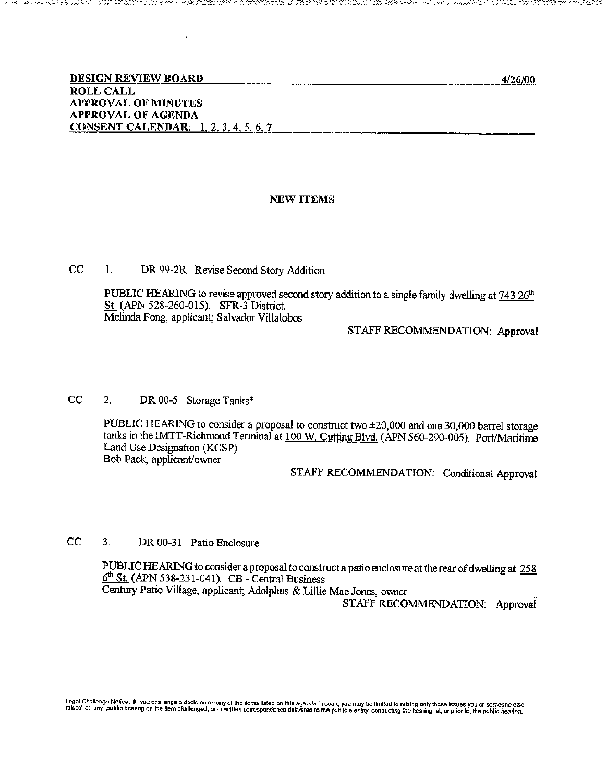4/26/00

# **DESIGN REVIEW BOARD ROLL CALL APPROVAL OF MINUTES APPROVAL OF AGENDA CONSENT CALENDAR:** 1, 2, 3, 4, 5, 6, 7

# **NEW ITEMS**

 $_{\rm CC}$  $\mathbf{1}$ DR 99-2R Revise Second Story Addition

> PUBLIC HEARING to revise approved second story addition to a single family dwelling at 743 26<sup>th</sup> St. (APN 528-260-015). SFR-3 District. Melinda Fong, applicant; Salvador Villalobos

> > STAFF RECOMMENDATION: Approval

 $CC$  $2<sub>1</sub>$ DR 00-5 Storage Tanks\*

> PUBLIC HEARING to consider a proposal to construct two ±20,000 and one 30,000 barrel storage tanks in the IMTT-Richmond Terminal at 100 W. Cutting Blvd. (APN 560-290-005). Port/Maritime Land Use Designation (KCSP) Bob Pack, applicant/owner

> > STAFF RECOMMENDATION: Conditional Approval

 $cc$  $3.$ DR 00-31 Patio Enclosure

> PUBLIC HEARING to consider a proposal to construct a patio enclosure at the rear of dwelling at 258  $6<sup>th</sup>$  St. (APN 538-231-041). CB - Central Business Century Patio Village, applicant; Adolphus & Lillie Mae Jones, owner

> > STAFF RECOMMENDATION: Approval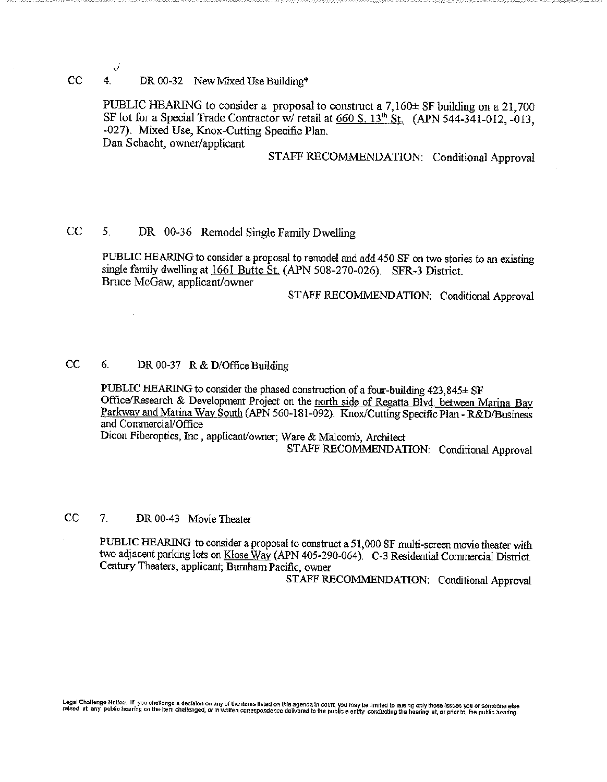#### $cc$ 4 DR 00-32 New Mixed Use Building\*

J.

PUBLIC HEARING to consider a proposal to construct a 7,160 $\pm$  SF building on a 21,700 SF lot for a Special Trade Contractor w/ retail at  $\underline{660 \text{ S}}$ .  $13^{\text{th}}$  St. (APN 544-341-012, -013, -027). Mixed Use, Knox-Cutting Specific Plan. Dan Schacht, owner/applicant

STAFF RECOMMENDATION: Conditional Approval

#### $CC$  $5<sub>1</sub>$ DR 00-36 Remodel Single Family Dwelling

PUBLIC HEARING to consider a proposal to remodel and add 450 SF on two stories to an existing single family dwelling at 1661 Butte St. (APN 508-270-026). SFR-3 District. Bruce McGaw, applicant/owner

STAFF RECOMMENDATION: Conditional Approval

#### $CC$ 6. DR 00-37 R & D/Office Building

PUBLIC HEARING to consider the phased construction of a four-building 423,845± SF Office/Research & Development Project on the north side of Regatta Blyd. between Marina Bay Parkway and Marina Way South (APN 560-181-092). Knox/Cutting Specific Plan - R&D/Business and Commercial/Office

Dicon Fiberoptics, Inc., applicant/owner; Ware & Malcomb, Architect

STAFF RECOMMENDATION: Conditional Approval

#### $CC$  $7<sub>1</sub>$ DR 00-43 Movie Theater

PUBLIC HEARING to consider a proposal to construct a 51,000 SF multi-screen movie theater with two adjacent parking lots on Klose Way (APN 405-290-064). C-3 Residential Commercial District. Century Theaters, applicant; Burnham Pacific, owner

STAFF RECOMMENDATION: Conditional Approval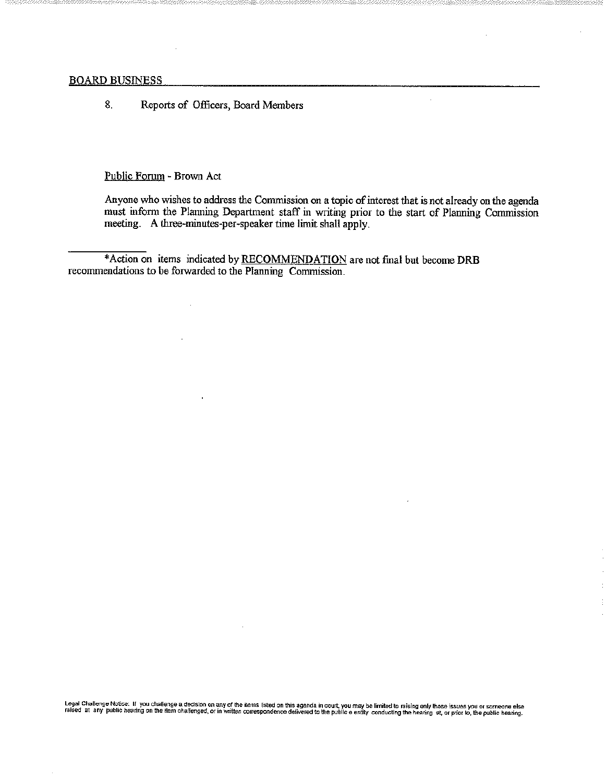#### **BOARD BUSINESS**

8. Reports of Officers, Board Members

Public Forum - Brown Act

Anyone who wishes to address the Commission on a topic of interest that is not already on the agenda must inform the Planning Department staff in writing prior to the start of Planning Commission meeting. A three-minutes-per-speaker time limit shall apply.

\*Action on items indicated by RECOMMENDATION are not final but become DRB recommendations to be forwarded to the Planning Commission.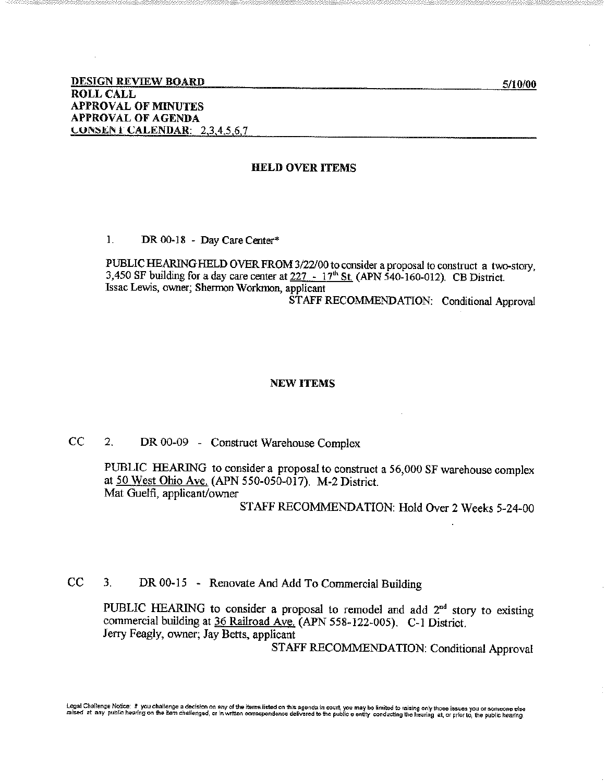5/10/00

### **HELD OVER ITEMS**

 $\mathbf{1}$ . DR 00-18 - Day Care Center\*

PUBLIC HEARING HELD OVER FROM 3/22/00 to consider a proposal to construct a two-story, 3,450 SF building for a day care center at  $227 - 17<sup>th</sup>$  St. (APN 540-160-012). CB District. Issac Lewis, owner; Shermon Workmon, applicant STAFF RECOMMENDATION: Conditional Approval

### **NEW ITEMS**

 $CC$  $2.$ DR 00-09 - Construct Warehouse Complex

> PUBLIC HEARING to consider a proposal to construct a 56,000 SF warehouse complex at 50 West Ohio Ave. (APN 550-050-017). M-2 District. Mat Guelfi, applicant/owner

> > STAFF RECOMMENDATION: Hold Over 2 Weeks 5-24-00

 $CC$  $3<sub>1</sub>$ DR 00-15 - Renovate And Add To Commercial Building

PUBLIC HEARING to consider a proposal to remodel and add  $2<sup>nd</sup>$  story to existing commercial building at 36 Railroad Ave. (APN 558-122-005). C-1 District. Jerry Feagly, owner; Jay Betts, applicant

STAFF RECOMMENDATION: Conditional Approval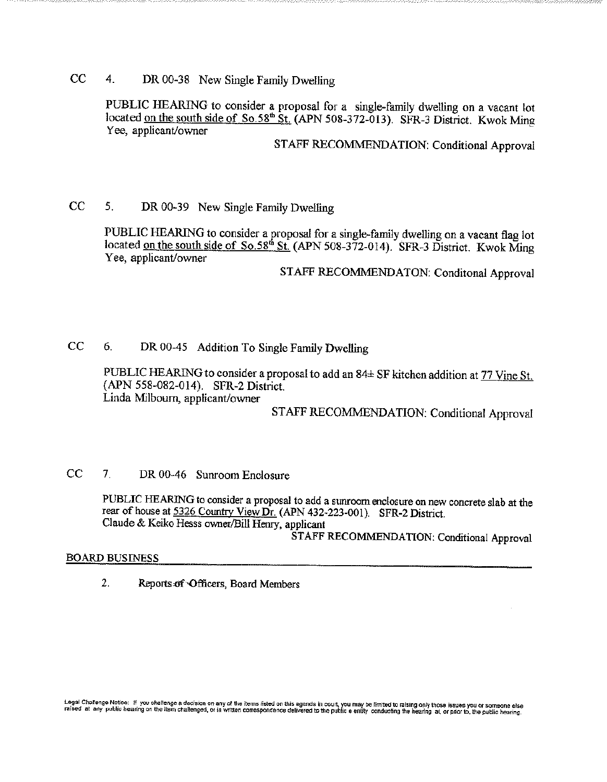#### $CC$  $\boldsymbol{\mathcal{A}}$ DR 00-38 New Single Family Dwelling

PUBLIC HEARING to consider a proposal for a single-family dwelling on a vacant lot located on the south side of So.58<sup>th</sup> St. (APN 508-372-013). SFR-3 District. Kwok Ming Yee, applicant/owner

# STAFF RECOMMENDATION: Conditional Approval

#### $CC$ 5. DR 00-39 New Single Family Dwelling

PUBLIC HEARING to consider a proposal for a single-family dwelling on a vacant flag lot located on the south side of So.58<sup>th</sup> St. (APN 508-372-014). SFR-3 District. Kwok Ming Yee, applicant/owner

STAFF RECOMMENDATON: Conditonal Approval

#### **CC** 6. DR 00-45 Addition To Single Family Dwelling

PUBLIC HEARING to consider a proposal to add an 84± SF kitchen addition at 77 Vine St. (APN 558-082-014). SFR-2 District. Linda Milbourn, applicant/owner

STAFF RECOMMENDATION: Conditional Approval

#### $CC$  $7<sub>1</sub>$ DR 00-46 Sunroom Enclosure

PUBLIC HEARING to consider a proposal to add a sunroom enclosure on new concrete slab at the rear of house at 5326 Country View Dr. (APN 432-223-001). SFR-2 District. Claude & Keiko Hesss owner/Bill Henry, applicant

STAFF RECOMMENDATION: Conditional Approval

## **BOARD BUSINESS**

2. Reports of Officers, Board Members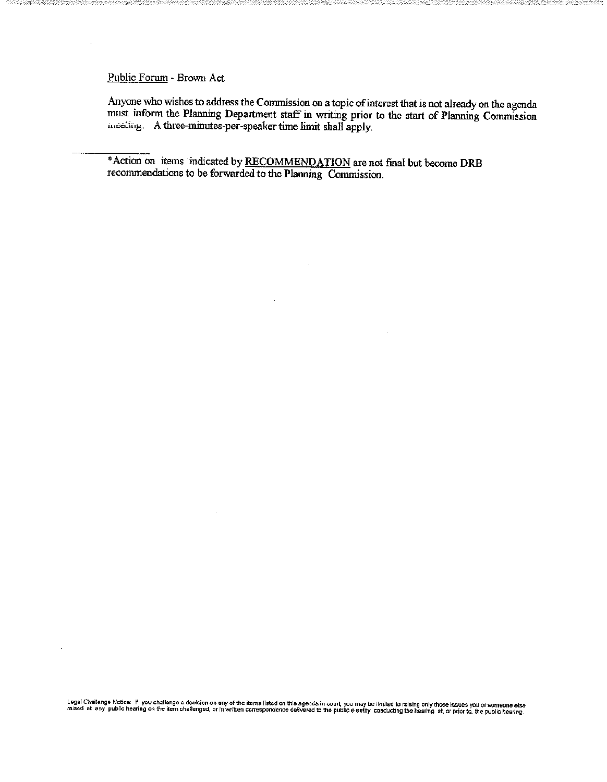# Public Forum - Brown Act

Anyone who wishes to address the Commission on a topic of interest that is not already on the agenda must inform the Planning Department staff in writing prior to the start of Planning Commission inceding. A three-minutes-per-speaker time limit shall apply.

\*Action on items indicated by RECOMMENDATION are not final but become DRB recommendations to be forwarded to the Planning Commission.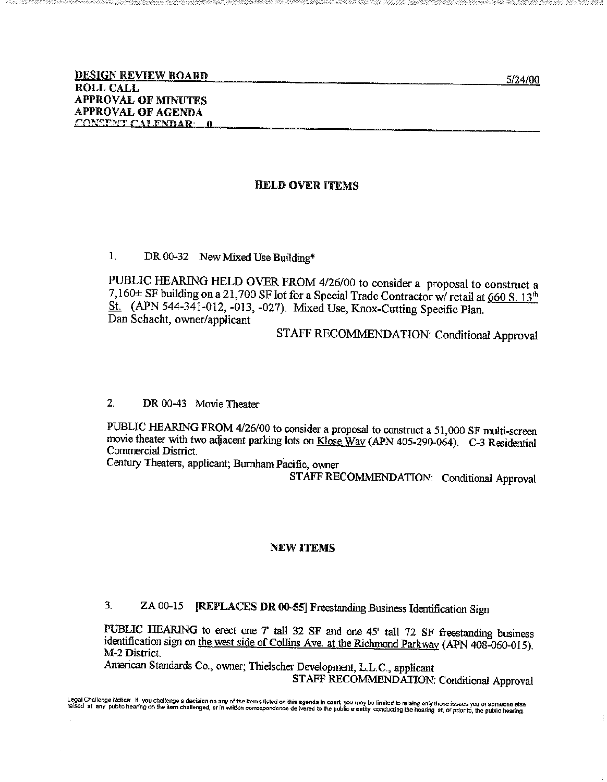# **HELD OVER ITEMS**

 $\mathbf{1}$ . DR 00-32 New Mixed Use Building\*

PUBLIC HEARING HELD OVER FROM 4/26/00 to consider a proposal to construct a 7,160± SF building on a 21,700 SF lot for a Special Trade Contractor w/ retail at 660 S. 13<sup>th</sup> St. (APN 544-341-012, -013, -027). Mixed Use, Knox-Cutting Specific Plan. Dan Schacht, owner/applicant

STAFF RECOMMENDATION: Conditional Approval

 $\overline{2}$ . DR 00-43 Movie Theater

PUBLIC HEARING FROM 4/26/00 to consider a proposal to construct a 51,000 SF multi-screen movie theater with two adjacent parking lots on Klose Way (APN 405-290-064). C-3 Residential Commercial District.

Century Theaters, applicant; Burnham Pacific, owner

STAFF RECOMMENDATION: Conditional Approval

### **NEW ITEMS**

 $\mathbf{3}$ . ZA 00-15 [REPLACES DR 00-55] Freestanding Business Identification Sign

PUBLIC HEARING to erect one 7' tall 32 SF and one 45' tall 72 SF freestanding business identification sign on the west side of Collins Ave. at the Richmond Parkway (APN 408-060-015). M-2 District.

American Standards Co., owner; Thielscher Development, L.L.C., applicant

STAFF RECOMMENDATION: Conditional Approval

Legal Challenge Notice: If you challenge a decision on any of the items listed on this agenda in court, you may be limited to raising only those issues you or someone else<br>raised at any public hearing on the item challenge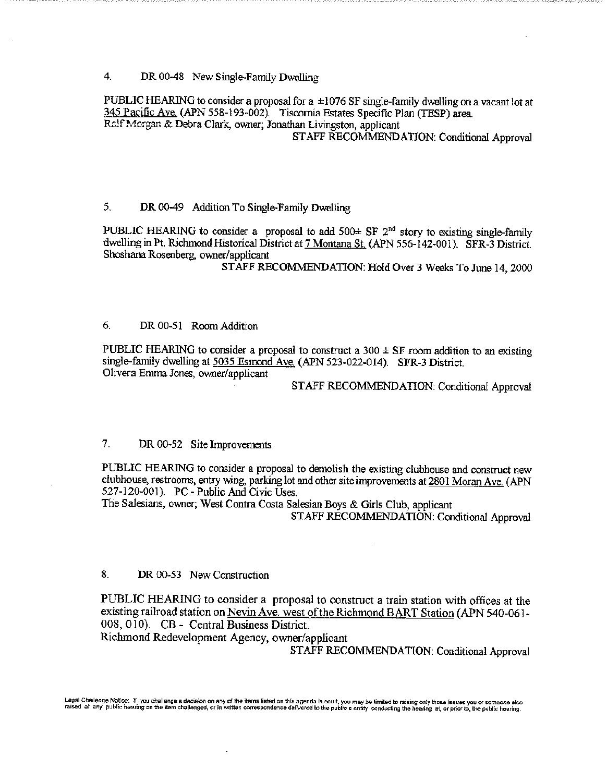$4<sub>1</sub>$ DR 00-48 New Single-Family Dwelling

PUBLIC HEARING to consider a proposal for a ±1076 SF single-family dwelling on a vacant lot at 345 Pacific Ave. (APN 558-193-002). Tiscornia Estates Specific Plan (TESP) area. Ralf Morgan & Debra Clark, owner; Jonathan Livingston, applicant

STAFF RECOMMENDATION: Conditional Approval

 $5<sub>1</sub>$ DR 00-49 Addition To Single-Family Dwelling

PUBLIC HEARING to consider a proposal to add 500 $\pm$  SF 2<sup>nd</sup> story to existing single-family dwelling in Pt. Richmond Historical District at 7 Montana St. (APN 556-142-001). SFR-3 District. Shoshana Rosenberg, owner/applicant

STAFF RECOMMENDATION: Hold Over 3 Weeks To June 14, 2000

6. DR 00-51 Room Addition

PUBLIC HEARING to consider a proposal to construct a  $300 \pm SF$  room addition to an existing single-family dwelling at 5035 Esmond Ave. (APN 523-022-014). SFR-3 District. Olivera Emma Jones, owner/applicant

STAFF RECOMMENDATION: Conditional Approval

 $7<sub>1</sub>$ DR 00-52 Site Improvements

PUBLIC HEARING to consider a proposal to demolish the existing clubhouse and construct new clubhouse, restrooms, entry wing, parking lot and other site improvements at 2801 Moran Ave. (APN 527-120-001). PC - Public And Civic Uses.

The Salesians, owner; West Contra Costa Salesian Boys & Girls Club, applicant STAFF RECOMMENDATION: Conditional Approval

8. DR 00-53 New Construction

PUBLIC HEARING to consider a proposal to construct a train station with offices at the existing railroad station on Nevin Ave. west of the Richmond BART Station (APN 540-061-008, 010). CB - Central Business District. Richmond Redevelopment Agency, owner/applicant

STAFF RECOMMENDATION: Conditional Approval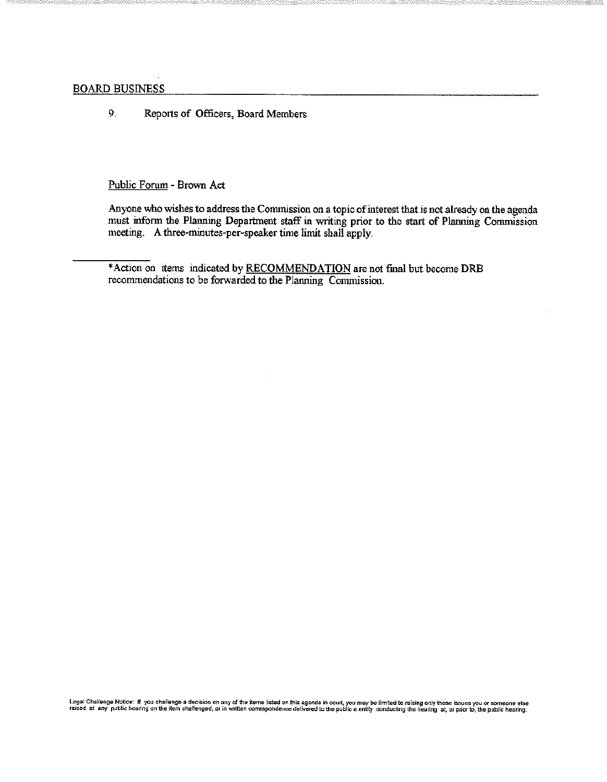# **BOARD BUSINESS**

9. Reports of Officers, Board Members

#### Public Forum - Brown Act

Anyone who wishes to address the Commission on a topic of interest that is not already on the agenda must inform the Planning Department staff in writing prior to the start of Planning Commission meeting. A three-minutes-per-speaker time limit shall apply.

\*Action on items indicated by RECOMMENDATION are not final but become DRB recommendations to be forwarded to the Planning Commission.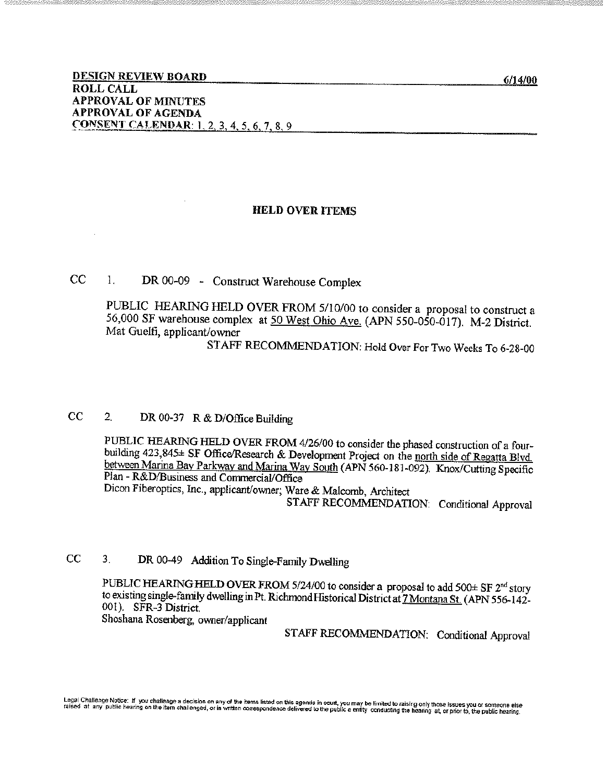#### **HELD OVER ITEMS**

 $CC$ DR 00-09 - Construct Warehouse Complex  $\mathbf{1}$ 

> PUBLIC HEARING HELD OVER FROM 5/10/00 to consider a proposal to construct a 56,000 SF warehouse complex at 50 West Ohio Ave. (APN 550-050-017). M-2 District. Mat Guelfi, applicant/owner

STAFF RECOMMENDATION: Hold Over For Two Weeks To 6-28-00

#### $CC$  $2<sub>1</sub>$ DR 00-37 R & D/Office Building

PUBLIC HEARING HELD OVER FROM 4/26/00 to consider the phased construction of a fourbuilding 423,845± SF Office/Research & Development Project on the north side of Regatta Blvd. between Marina Bay Parkway and Marina Way South (APN 560-181-092). Knox/Cutting Specific Plan - R&D/Business and Commercial/Office Dicon Fiberoptics, Inc., applicant/owner; Ware & Malcomb, Architect

STAFF RECOMMENDATION: Conditional Approval

 $CC$  $3<sub>1</sub>$ DR 00-49 Addition To Single-Family Dwelling

> PUBLIC HEARING HELD OVER FROM 5/24/00 to consider a proposal to add 500± SF 2<sup>nd</sup> story to existing single-family dwelling in Pt. Richmond Historical District at 7 Montana St. (APN 556-142-001). SFR-3 District. Shoshana Rosenberg, owner/applicant

> > STAFF RECOMMENDATION: Conditional Approval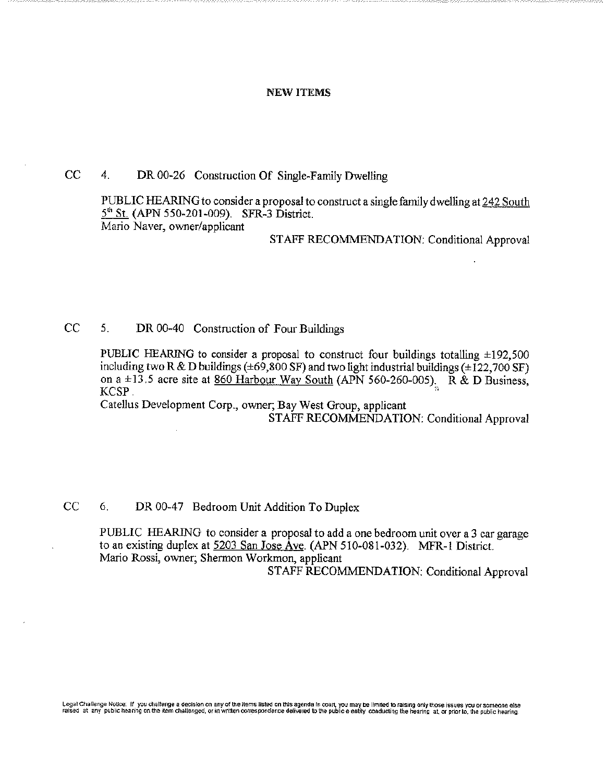# **NEW ITEMS**

#### $CC$ 4. DR 00-26 Construction Of Single-Family Dwelling

PUBLIC HEARING to consider a proposal to construct a single family dwelling at 242 South  $5<sup>th</sup>$  St. (APN 550-201-009). SFR-3 District.

Mario Naver, owner/applicant

STAFF RECOMMENDATION: Conditional Approval

 $CC$  $5<sub>1</sub>$ DR 00-40 Construction of Four Buildings

> PUBLIC HEARING to consider a proposal to construct four buildings totalling  $\pm 192,500$ including two R & D buildings ( $\pm 69,800$  SF) and two light industrial buildings ( $\pm 122,700$  SF)<br>on a  $\pm 13.5$  acre site at <u>860 Harbour Way South</u> (APN 560-260-005). R & D Business, KCSP.

> Catellus Development Corp., owner; Bay West Group, applicant STAFF RECOMMENDATION: Conditional Approval

 $CC$ DR 00-47 Bedroom Unit Addition To Duplex 6.

> PUBLIC HEARING to consider a proposal to add a one bedroom unit over a 3 car garage to an existing duplex at 5203 San Jose Ave. (APN 510-081-032). MFR-1 District. Mario Rossi, owner; Shermon Workmon, applicant STAFF RECOMMENDATION: Conditional Approval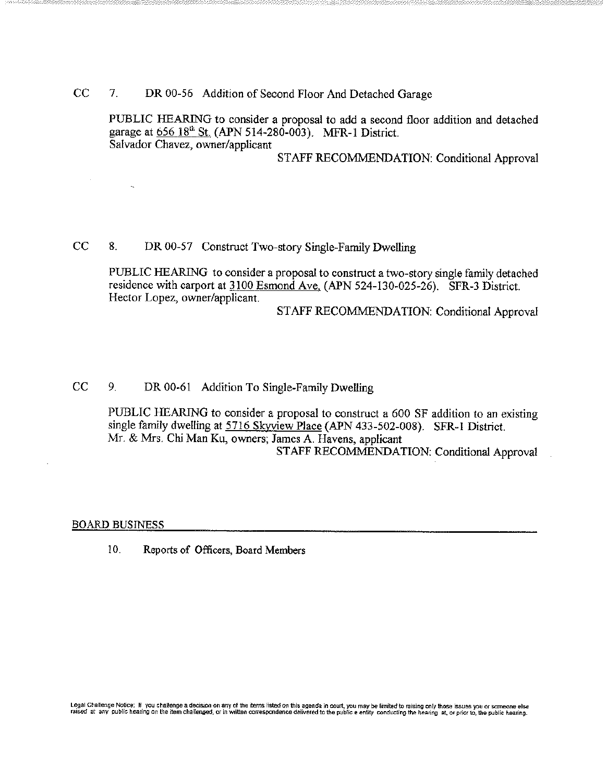$CC$  $7.$ DR 00-56 Addition of Second Floor And Detached Garage

PUBLIC HEARING to consider a proposal to add a second floor addition and detached garage at 656 18<sup>th</sup> St. (APN 514-280-003). MFR-1 District. Salvador Chavez, owner/applicant

STAFF RECOMMENDATION: Conditional Approval

 $CC$ 8. DR 00-57 Construct Two-story Single-Family Dwelling

> PUBLIC HEARING to consider a proposal to construct a two-story single family detached residence with carport at 3100 Esmond Ave. (APN 524-130-025-26). SFR-3 District. Hector Lopez, owner/applicant.

> > STAFF RECOMMENDATION: Conditional Approval

 $CC$  $9<sub>1</sub>$ DR 00-61 Addition To Single-Family Dwelling

> PUBLIC HEARING to consider a proposal to construct a 600 SF addition to an existing single family dwelling at 5716 Skyview Place (APN 433-502-008). SFR-1 District. Mr. & Mrs. Chi Man Ku, owners; James A. Havens, applicant STAFF RECOMMENDATION: Conditional Approval

#### **BOARD BUSINESS**

10. Reports of Officers, Board Members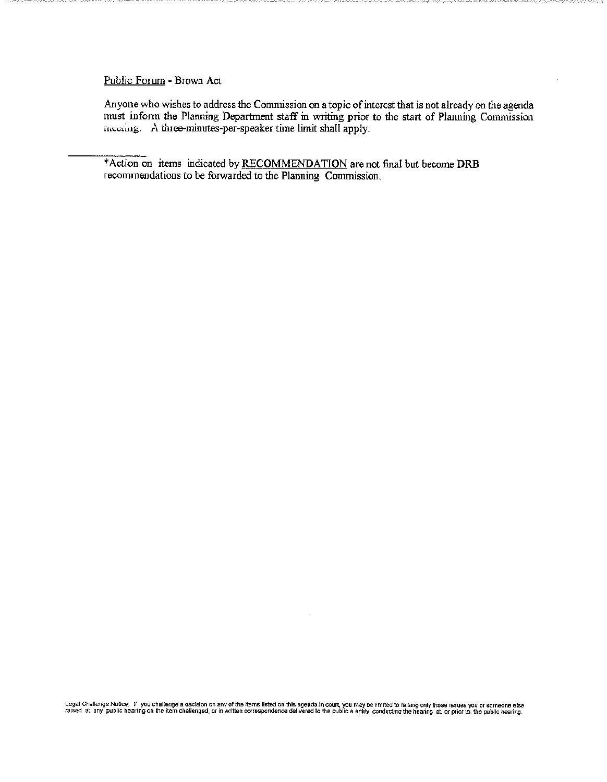### Public Forum - Brown Act

Anyone who wishes to address the Commission on a topic of interest that is not already on the agenda must inform the Planning Department staff in writing prior to the start of Planning Commission meeting. A three-minutes-per-speaker time limit shall apply.

\*Action on items indicated by RECOMMENDATION are not final but become DRB recommendations to be forwarded to the Planning Commission.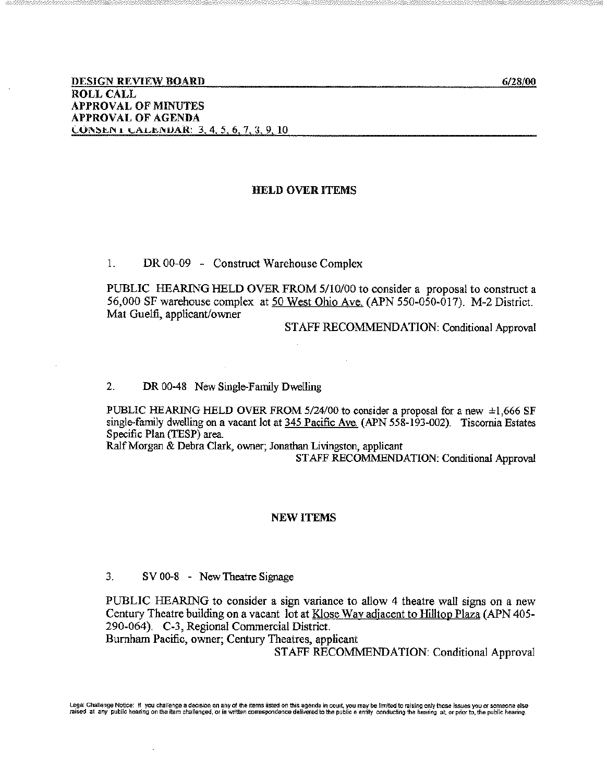6/28/00

### **HELD OVER ITEMS**

 $\mathbf{1}$ . DR 00-09 - Construct Warehouse Complex

PUBLIC HEARING HELD OVER FROM 5/10/00 to consider a proposal to construct a 56,000 SF warehouse complex at 50 West Ohio Ave. (APN 550-050-017). M-2 District. Mat Guelfi, applicant/owner

STAFF RECOMMENDATION: Conditional Approval

#### $2.$ DR 00-48 New Single-Family Dwelling

PUBLIC HEARING HELD OVER FROM 5/24/00 to consider a proposal for a new  $\pm 1,666$  SF single-family dwelling on a vacant lot at 345 Pacific Ave. (APN 558-193-002). Tiscornia Estates Specific Plan (TESP) area.

Ralf Morgan & Debra Clark, owner; Jonathan Livingston, applicant

STAFF RECOMMENDATION: Conditional Approval

#### **NEW ITEMS**

3. SV 00-8 - New Theatre Signage

PUBLIC HEARING to consider a sign variance to allow 4 theatre wall signs on a new Century Theatre building on a vacant lot at Klose Way adjacent to Hilltop Plaza (APN 405-290-064). C-3, Regional Commercial District. Burnham Pacific, owner; Century Theatres, applicant

STAFF RECOMMENDATION: Conditional Approval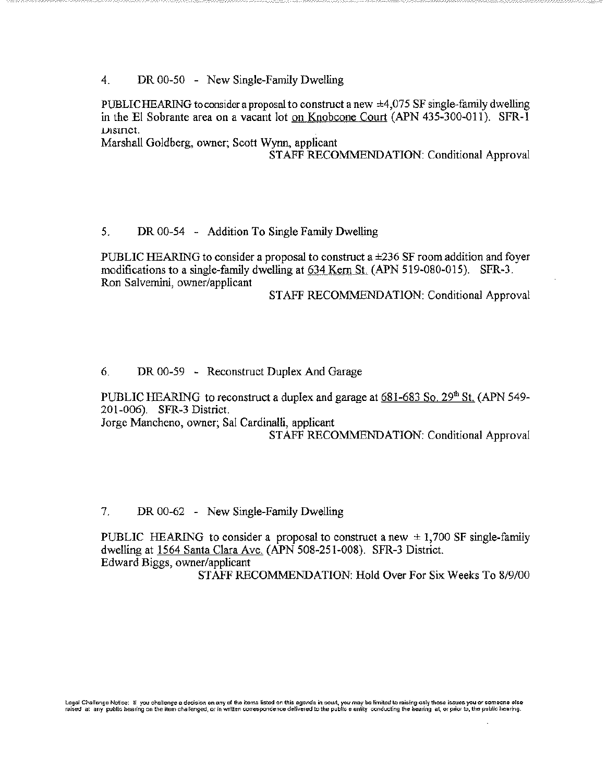4. DR 00-50 - New Single-Family Dwelling

PUBLIC HEARING to consider a proposal to construct a new  $\pm 4.075$  SF single-family dwelling in the El Sobrante area on a vacant lot on Knobcone Court (APN 435-300-011). SFR-1 District.

Marshall Goldberg, owner; Scott Wynn, applicant STAFF RECOMMENDATION: Conditional Approval

#### $5<sub>1</sub>$ DR 00-54 - Addition To Single Family Dwelling

PUBLIC HEARING to consider a proposal to construct a  $\pm 236$  SF room addition and foyer modifications to a single-family dwelling at 634 Kern St. (APN 519-080-015). SFR-3. Ron Salvemini, owner/applicant

## STAFF RECOMMENDATION: Conditional Approval

#### 6. DR 00-59 - Reconstruct Duplex And Garage

PUBLIC HEARING to reconstruct a duplex and garage at 681-683 So. 29<sup>th</sup> St. (APN 549-201-006). SFR-3 District. Jorge Mancheno, owner; Sal Cardinalli, applicant **STAFF RECOMMENDATION: Conditional Approval** 

#### $7<sub>1</sub>$ DR 00-62 - New Single-Family Dwelling

PUBLIC HEARING to consider a proposal to construct a new  $\pm$  1,700 SF single-family dwelling at 1564 Santa Clara Ave. (APN 508-251-008). SFR-3 District. Edward Biggs, owner/applicant STAFF RECOMMENDATION: Hold Over For Six Weeks To 8/9/00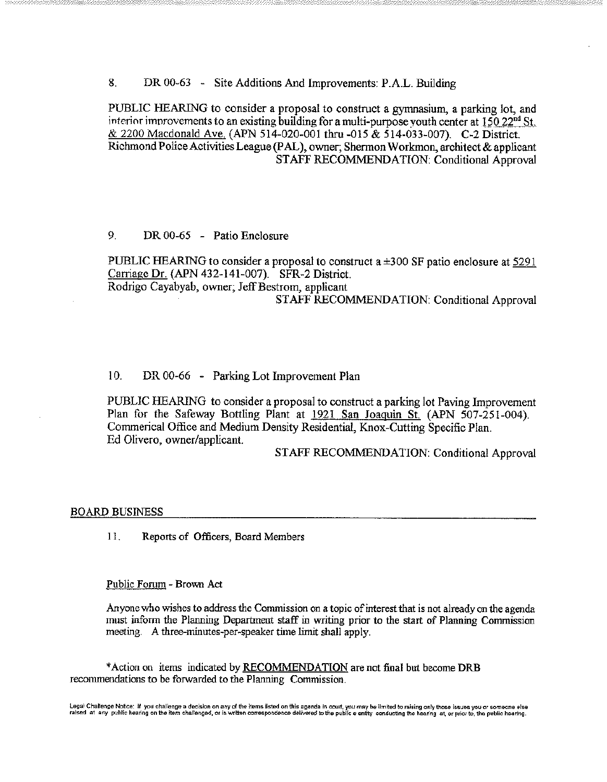8. DR 00-63 - Site Additions And Improvements: P.A.L. Building

PUBLIC HEARING to consider a proposal to construct a gymnasium, a parking lot, and interior improvements to an existing building for a multi-purpose youth center at 150  $22<sup>nd</sup>$  St. & 2200 Macdonald Ave. (APN 514-020-001 thru -015 & 514-033-007). C-2 District. Richmond Police Activities League (PAL), owner; Shermon Workmon, architect & applicant STAFF RECOMMENDATION: Conditional Approval

#### 9. DR 00-65 - Patio Enclosure

PUBLIC HEARING to consider a proposal to construct a  $\pm 300$  SF patio enclosure at 5291 Carriage Dr. (APN 432-141-007). SFR-2 District. Rodrigo Cayabyab, owner; Jeff Bestrom, applicant STAFF RECOMMENDATION: Conditional Approval

#### $10.$ DR 00-66 - Parking Lot Improvement Plan

PUBLIC HEARING to consider a proposal to construct a parking lot Paving Improvement Plan for the Safeway Bottling Plant at 1921 San Joaquin St. (APN 507-251-004). Commerical Office and Medium Density Residential, Knox-Cutting Specific Plan. Ed Olivero, owner/applicant.

STAFF RECOMMENDATION: Conditional Approval

### **BOARD BUSINESS**

 $11.$ Reports of Officers, Board Members

Public Forum - Brown Act

Anyone who wishes to address the Commission on a topic of interest that is not already on the agenda must inform the Planning Department staff in writing prior to the start of Planning Commission meeting. A three-minutes-per-speaker time limit shall apply.

\*Action on items indicated by RECOMMENDATION are not final but become DRB recommendations to be forwarded to the Planning Commission.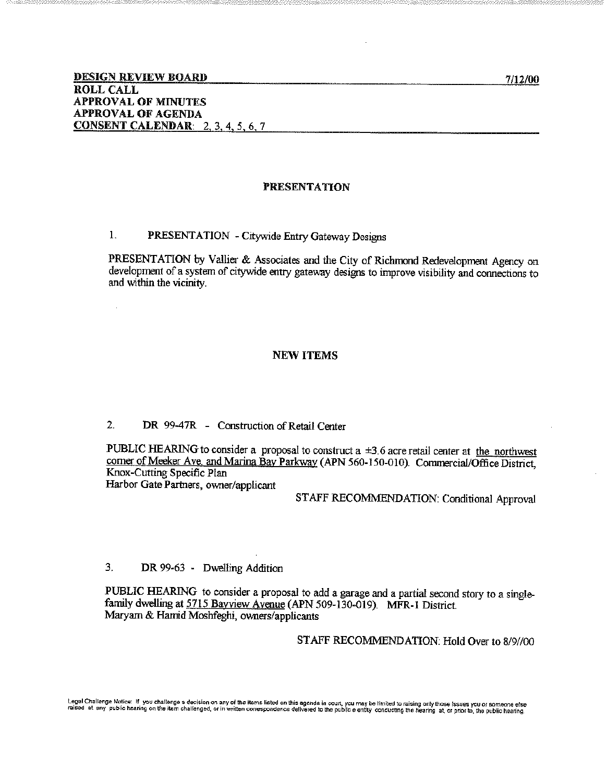#### **PRESENTATION**

 $\mathbf{1}$ . PRESENTATION - Citywide Entry Gateway Designs

PRESENTATION by Vallier & Associates and the City of Richmond Redevelopment Agency on development of a system of citywide entry gateway designs to improve visibility and connections to and within the vicinity.

#### **NEW ITEMS**

 $2.$ DR 99-47R - Construction of Retail Center

PUBLIC HEARING to consider a proposal to construct a  $\pm 3.6$  acre retail center at the northwest corner of Meeker Ave, and Marina Bay Parkway (APN 560-150-010). Commercial/Office District, Knox-Cutting Specific Plan Harbor Gate Partners, owner/applicant

STAFF RECOMMENDATION: Conditional Approval

 $3<sub>1</sub>$ DR 99-63 - Dwelling Addition

PUBLIC HEARING to consider a proposal to add a garage and a partial second story to a singlefamily dwelling at 5715 Bayview Avenue (APN 509-130-019). MFR-1 District. Maryam & Hamid Moshfeghi, owners/applicants

STAFF RECOMMENDATION: Hold Over to 8/9//00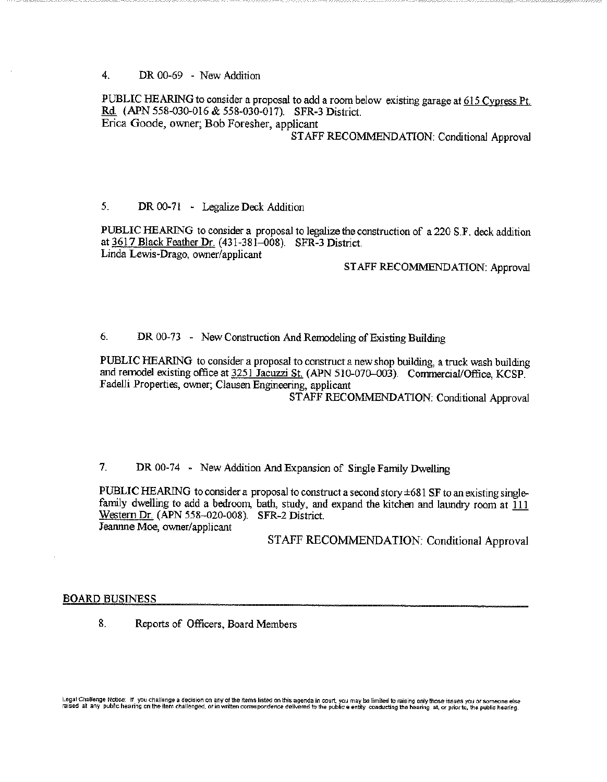$\overline{4}$ . DR 00-69 - New Addition

PUBLIC HEARING to consider a proposal to add a room below existing garage at 615 Cypress Pt. Rd (APN 558-030-016 & 558-030-017). SFR-3 District. Erica Goode, owner; Bob Foresher, applicant

STAFF RECOMMENDATION: Conditional Approval

5. DR 00-71 - Legalize Deck Addition

PUBLIC HEARING to consider a proposal to legalize the construction of a 220 S.F. deck addition at  $3617$  Black Feather Dr.  $(431-381-008)$ . SFR-3 District. Linda Lewis-Drago, owner/applicant

STAFF RECOMMENDATION: Approval

6. DR 00-73 - New Construction And Remodeling of Existing Building

PUBLIC HEARING to consider a proposal to construct a new shop building, a truck wash building and remodel existing office at 3251 Jacuzzi St. (APN 510-070-003). Commercial/Office, KCSP. Fadelli Properties, owner; Clausen Engineering, applicant

STAFF RECOMMENDATION: Conditional Approval

 $7<sub>1</sub>$ DR 00-74 - New Addition And Expansion of Single Family Dwelling

PUBLIC HEARING to consider a proposal to construct a second story ±681 SF to an existing singlefamily dwelling to add a bedroom, bath, study, and expand the kitchen and laundry room at 111 Western Dr. (APN 558-020-008). SFR-2 District. Jeannne Moe, owner/applicant

STAFF RECOMMENDATION: Conditional Approval

#### **BOARD BUSINESS**

 $8<sub>1</sub>$ Reports of Officers, Board Members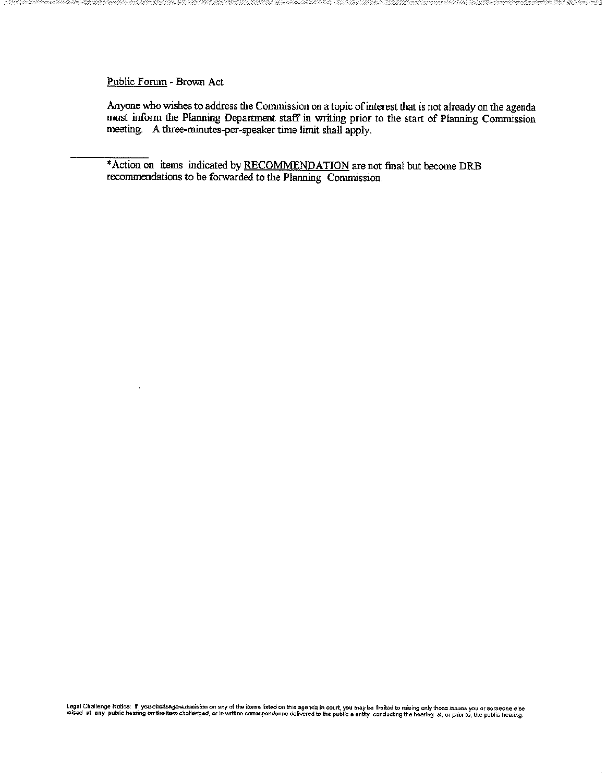# Public Forum - Brown Act

Anyone who wishes to address the Commission on a topic of interest that is not already on the agenda must inform the Planning Department staff in writing prior to the start of Planning Commission meeting. A three-minutes-per-speaker time limit shall apply.

\*Action on items indicated by RECOMMENDATION are not final but become DRB recommendations to be forwarded to the Planning Commission.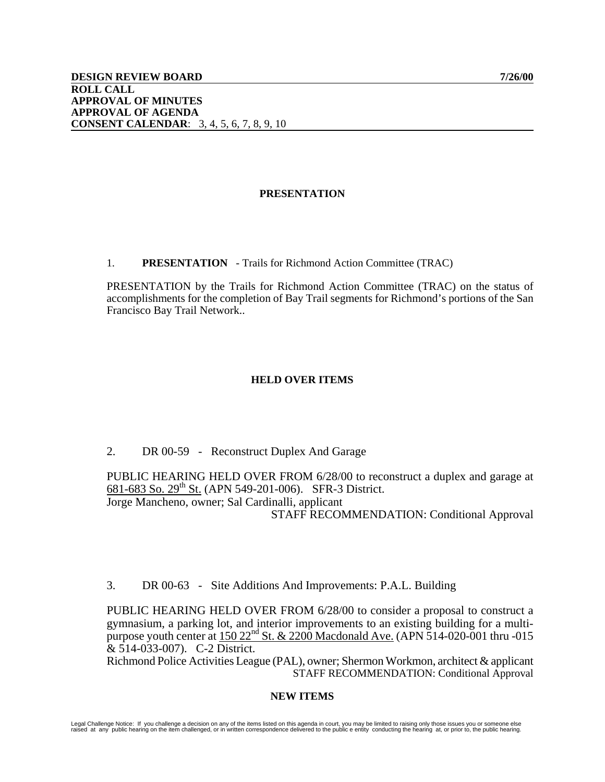#### **PRESENTATION**

1. **PRESENTATION** - Trails for Richmond Action Committee (TRAC)

PRESENTATION by the Trails for Richmond Action Committee (TRAC) on the status of accomplishments for the completion of Bay Trail segments for Richmond's portions of the San Francisco Bay Trail Network..

## **HELD OVER ITEMS**

2. DR 00-59 - Reconstruct Duplex And Garage

PUBLIC HEARING HELD OVER FROM 6/28/00 to reconstruct a duplex and garage at 681-683 So.  $29^{th}$  St. (APN 549-201-006). SFR-3 District. Jorge Mancheno, owner; Sal Cardinalli, applicant STAFF RECOMMENDATION: Conditional Approval

3. DR 00-63 - Site Additions And Improvements: P.A.L. Building

PUBLIC HEARING HELD OVER FROM 6/28/00 to consider a proposal to construct a gymnasium, a parking lot, and interior improvements to an existing building for a multipurpose youth center at  $150 22<sup>nd</sup>$  St. & 2200 Macdonald Ave. (APN  $\overline{5}14$ -020-001 thru -015 & 514-033-007). C-2 District.

Richmond Police Activities League (PAL), owner; Shermon Workmon, architect & applicant STAFF RECOMMENDATION: Conditional Approval

### **NEW ITEMS**

Legal Challenge Notice: If you challenge a decision on any of the items listed on this agenda in court, you may be limited to raising only those issues you or someone else<br>raised at any public hearing on the item challenge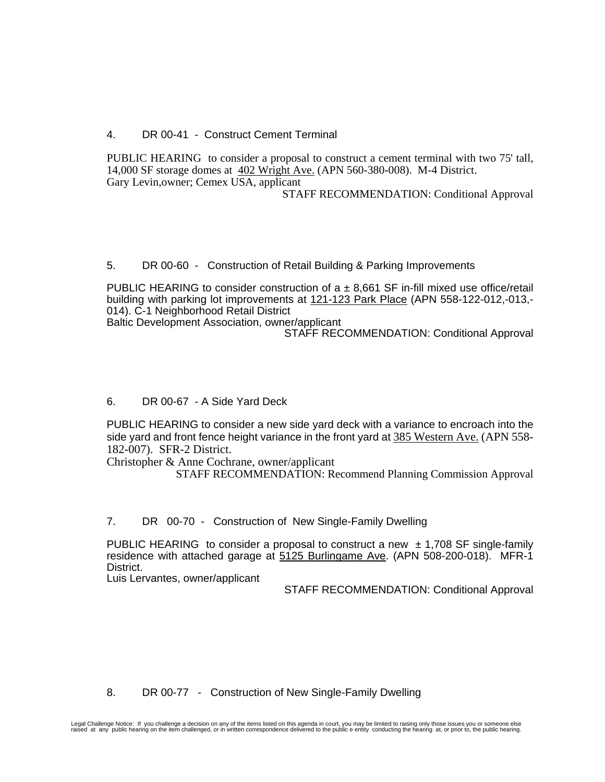# 4. DR 00-41 - Construct Cement Terminal

PUBLIC HEARING to consider a proposal to construct a cement terminal with two 75' tall, 14,000 SF storage domes at 402 Wright Ave. (APN 560-380-008). M-4 District. Gary Levin,owner; Cemex USA, applicant

STAFF RECOMMENDATION: Conditional Approval

5. DR 00-60 - Construction of Retail Building & Parking Improvements

PUBLIC HEARING to consider construction of  $a \pm 8,661$  SF in-fill mixed use office/retail building with parking lot improvements at 121-123 Park Place (APN 558-122-012,-013,- 014). C-1 Neighborhood Retail District Baltic Development Association, owner/applicant

STAFF RECOMMENDATION: Conditional Approval

# 6. DR 00-67 - A Side Yard Deck

PUBLIC HEARING to consider a new side yard deck with a variance to encroach into the side yard and front fence height variance in the front yard at 385 Western Ave. (APN 558- 182-007). SFR-2 District.

Christopher & Anne Cochrane, owner/applicant

STAFF RECOMMENDATION: Recommend Planning Commission Approval

7. DR 00-70 - Construction of New Single-Family Dwelling

PUBLIC HEARING to consider a proposal to construct a new  $\pm$  1,708 SF single-family residence with attached garage at 5125 Burlingame Ave. (APN 508-200-018). MFR-1 District.

Luis Lervantes, owner/applicant

STAFF RECOMMENDATION: Conditional Approval

# 8. DR 00-77 - Construction of New Single-Family Dwelling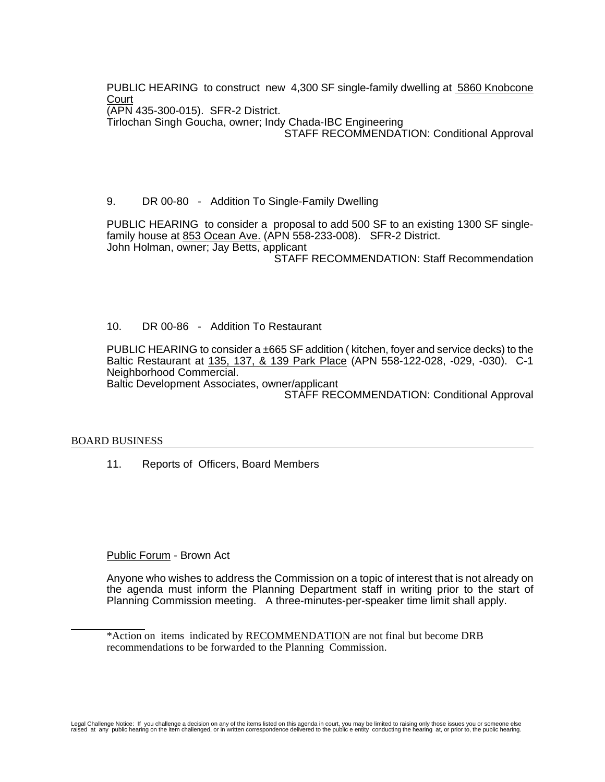PUBLIC HEARING to construct new 4,300 SF single-family dwelling at 5860 Knobcone **Court** 

(APN 435-300-015). SFR-2 District.

Tirlochan Singh Goucha, owner; Indy Chada-IBC Engineering

STAFF RECOMMENDATION: Conditional Approval

# 9. DR 00-80 - Addition To Single-Family Dwelling

PUBLIC HEARING to consider a proposal to add 500 SF to an existing 1300 SF singlefamily house at 853 Ocean Ave. (APN 558-233-008). SFR-2 District. John Holman, owner; Jay Betts, applicant

STAFF RECOMMENDATION: Staff Recommendation

# 10. DR 00-86 - Addition To Restaurant

PUBLIC HEARING to consider a ±665 SF addition ( kitchen, foyer and service decks) to the Baltic Restaurant at 135, 137, & 139 Park Place (APN 558-122-028, -029, -030). C-1 Neighborhood Commercial.

Baltic Development Associates, owner/applicant

STAFF RECOMMENDATION: Conditional Approval

# BOARD BUSINESS

l

11. Reports of Officers, Board Members

# Public Forum - Brown Act

Anyone who wishes to address the Commission on a topic of interest that is not already on the agenda must inform the Planning Department staff in writing prior to the start of Planning Commission meeting. A three-minutes-per-speaker time limit shall apply.

<sup>\*</sup>Action on items indicated by RECOMMENDATION are not final but become DRB recommendations to be forwarded to the Planning Commission.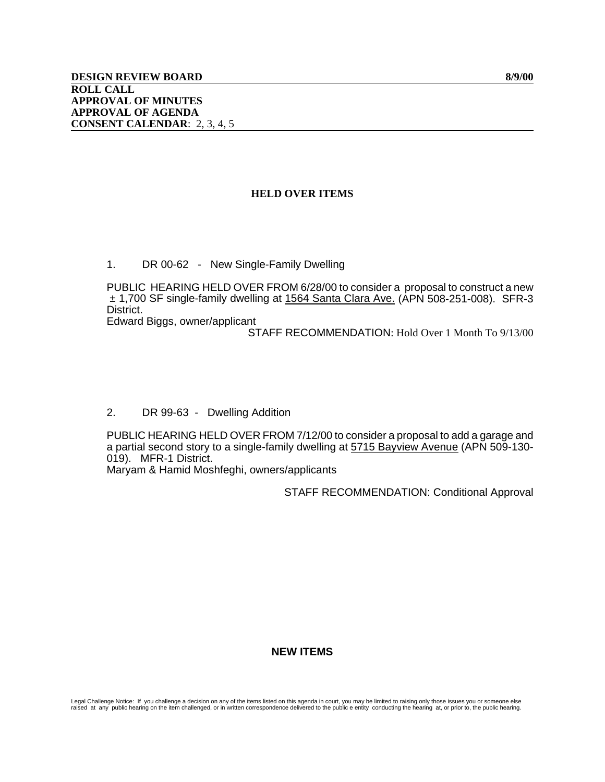#### **HELD OVER ITEMS**

1. DR 00-62 - New Single-Family Dwelling

PUBLIC HEARING HELD OVER FROM 6/28/00 to consider a proposal to construct a new ± 1,700 SF single-family dwelling at 1564 Santa Clara Ave. (APN 508-251-008). SFR-3 District. Edward Biggs, owner/applicant

STAFF RECOMMENDATION: Hold Over 1 Month To 9/13/00

2. DR 99-63 - Dwelling Addition

PUBLIC HEARING HELD OVER FROM 7/12/00 to consider a proposal to add a garage and a partial second story to a single-family dwelling at 5715 Bayview Avenue (APN 509-130- 019). MFR-1 District. Maryam & Hamid Moshfeghi, owners/applicants

STAFF RECOMMENDATION: Conditional Approval

# **NEW ITEMS**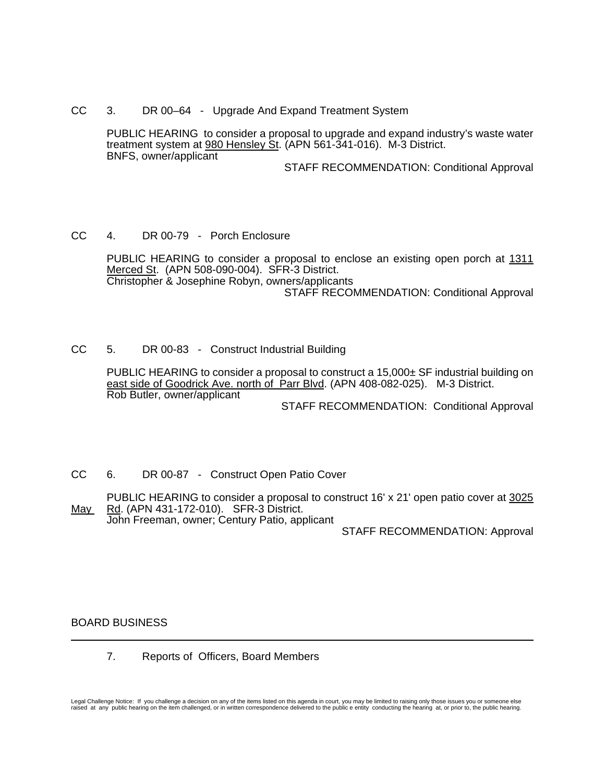### CC 3. DR 00–64 - Upgrade And Expand Treatment System

PUBLIC HEARING to consider a proposal to upgrade and expand industry's waste water treatment system at 980 Hensley St. (APN 561-341-016). M-3 District. BNFS, owner/applicant

STAFF RECOMMENDATION: Conditional Approval

## CC 4. DR 00-79 - Porch Enclosure

PUBLIC HEARING to consider a proposal to enclose an existing open porch at 1311 Merced St. (APN 508-090-004). SFR-3 District. Christopher & Josephine Robyn, owners/applicants STAFF RECOMMENDATION: Conditional Approval

## CC 5. DR 00-83 - Construct Industrial Building

PUBLIC HEARING to consider a proposal to construct a 15,000± SF industrial building on east side of Goodrick Ave. north of Parr Blvd. (APN 408-082-025). M-3 District. Rob Butler, owner/applicant

STAFF RECOMMENDATION: Conditional Approval

CC 6. DR 00-87 - Construct Open Patio Cover

PUBLIC HEARING to consider a proposal to construct 16' x 21' open patio cover at 3025 May Rd. (APN 431-172-010). SFR-3 District. John Freeman, owner; Century Patio, applicant

STAFF RECOMMENDATION: Approval

BOARD BUSINESS

7. Reports of Officers, Board Members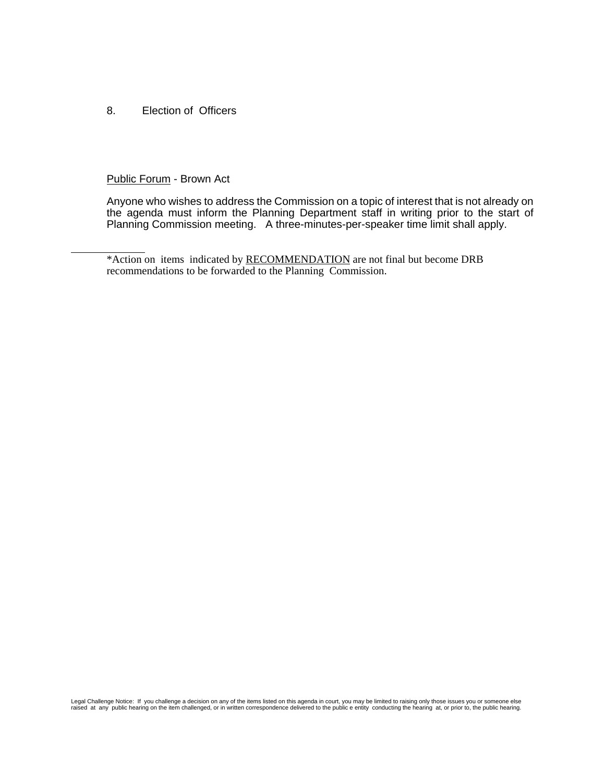8. Election of Officers

## Public Forum - Brown Act

l

Anyone who wishes to address the Commission on a topic of interest that is not already on the agenda must inform the Planning Department staff in writing prior to the start of Planning Commission meeting. A three-minutes-per-speaker time limit shall apply.

\*Action on items indicated by RECOMMENDATION are not final but become DRB recommendations to be forwarded to the Planning Commission.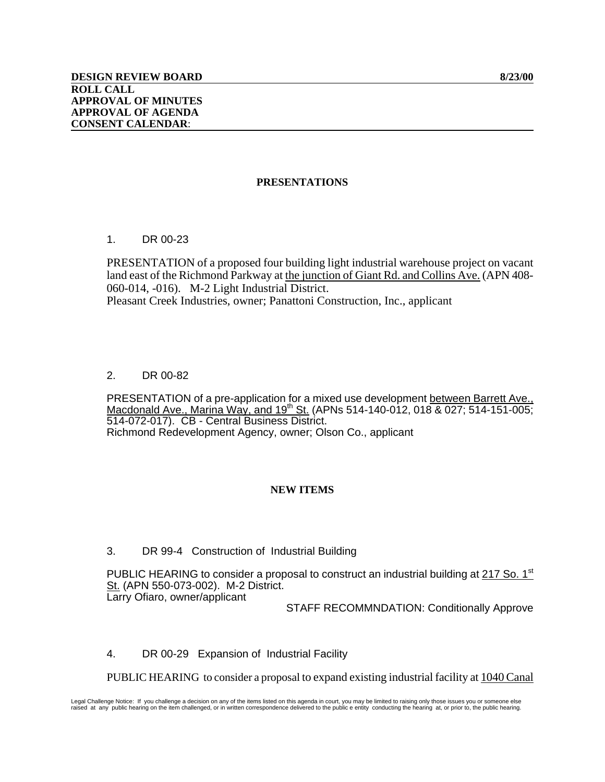# **PRESENTATIONS**

1. DR 00-23

PRESENTATION of a proposed four building light industrial warehouse project on vacant land east of the Richmond Parkway at the junction of Giant Rd. and Collins Ave. (APN 408- 060-014, -016). M-2 Light Industrial District. Pleasant Creek Industries, owner; Panattoni Construction, Inc., applicant

## 2. DR 00-82

PRESENTATION of a pre-application for a mixed use development between Barrett Ave., Macdonald Ave., Marina Way, and  $19^{th}$  St. (APNs 514-140-012, 018 & 027; 514-151-005; 514-072-017). CB - Central Business District. Richmond Redevelopment Agency, owner; Olson Co., applicant

# **NEW ITEMS**

3. DR 99-4 Construction of Industrial Building

PUBLIC HEARING to consider a proposal to construct an industrial building at  $217$  So.  $1<sup>st</sup>$ St. (APN 550-073-002). M-2 District. Larry Ofiaro, owner/applicant

STAFF RECOMMNDATION: Conditionally Approve

4. DR 00-29 Expansion of Industrial Facility

PUBLIC HEARING to consider a proposal to expand existing industrial facility at 1040 Canal

Legal Challenge Notice: If you challenge a decision on any of the items listed on this agenda in court, you may be limited to raising only those issues you or someone else<br>raised at any public hearing on the item challenge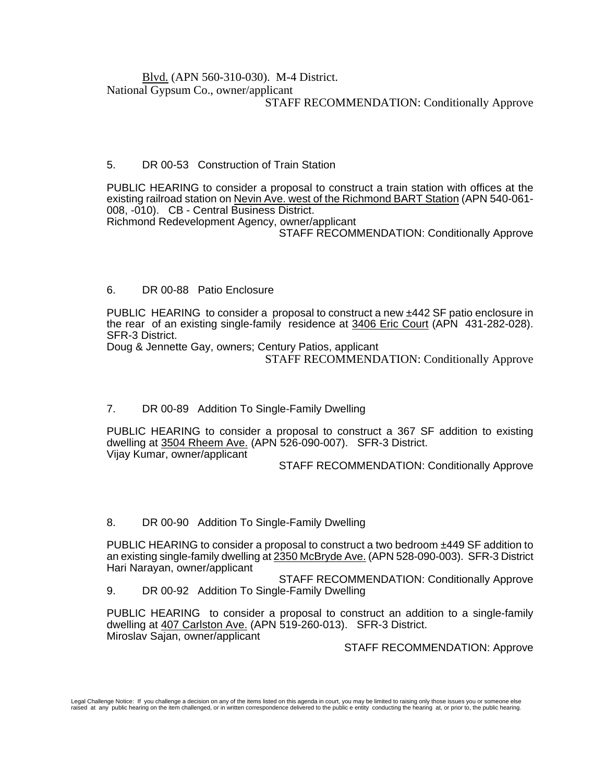# Blvd. (APN 560-310-030). M-4 District. National Gypsum Co., owner/applicant STAFF RECOMMENDATION: Conditionally Approve

# 5. DR 00-53 Construction of Train Station

PUBLIC HEARING to consider a proposal to construct a train station with offices at the existing railroad station on Nevin Ave. west of the Richmond BART Station (APN 540-061- 008, -010). CB - Central Business District. Richmond Redevelopment Agency, owner/applicant STAFF RECOMMENDATION: Conditionally Approve

# 6. DR 00-88 Patio Enclosure

PUBLIC HEARING to consider a proposal to construct a new ±442 SF patio enclosure in the rear of an existing single-family residence at 3406 Eric Court (APN 431-282-028). SFR-3 District.

Doug & Jennette Gay, owners; Century Patios, applicant

STAFF RECOMMENDATION: Conditionally Approve

# 7. DR 00-89 Addition To Single-Family Dwelling

PUBLIC HEARING to consider a proposal to construct a 367 SF addition to existing dwelling at 3504 Rheem Ave. (APN 526-090-007). SFR-3 District. Vijay Kumar, owner/applicant

STAFF RECOMMENDATION: Conditionally Approve

### 8. DR 00-90 Addition To Single-Family Dwelling

PUBLIC HEARING to consider a proposal to construct a two bedroom ±449 SF addition to an existing single-family dwelling at 2350 McBryde Ave. (APN 528-090-003). SFR-3 District Hari Narayan, owner/applicant

 STAFF RECOMMENDATION: Conditionally Approve 9. DR 00-92 Addition To Single-Family Dwelling

PUBLIC HEARING to consider a proposal to construct an addition to a single-family dwelling at 407 Carlston Ave. (APN 519-260-013). SFR-3 District. Miroslav Sajan, owner/applicant

STAFF RECOMMENDATION: Approve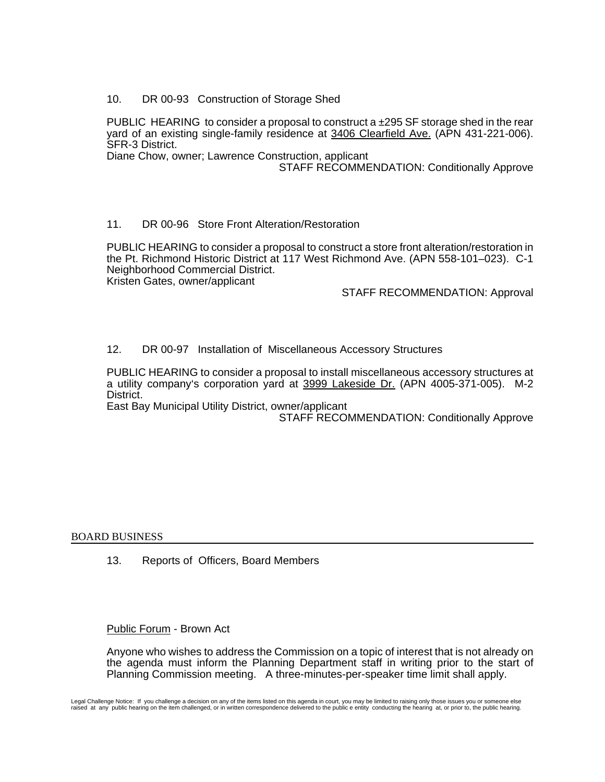10. DR 00-93 Construction of Storage Shed

PUBLIC HEARING to consider a proposal to construct a  $\pm$ 295 SF storage shed in the rear yard of an existing single-family residence at 3406 Clearfield Ave. (APN 431-221-006). SFR-3 District.

Diane Chow, owner; Lawrence Construction, applicant

STAFF RECOMMENDATION: Conditionally Approve

# 11. DR 00-96 Store Front Alteration/Restoration

PUBLIC HEARING to consider a proposal to construct a store front alteration/restoration in the Pt. Richmond Historic District at 117 West Richmond Ave. (APN 558-101–023). C-1 Neighborhood Commercial District. Kristen Gates, owner/applicant

STAFF RECOMMENDATION: Approval

# 12. DR 00-97 Installation of Miscellaneous Accessory Structures

PUBLIC HEARING to consider a proposal to install miscellaneous accessory structures at a utility company's corporation yard at 3999 Lakeside Dr. (APN 4005-371-005). M-2 District.

East Bay Municipal Utility District, owner/applicant

STAFF RECOMMENDATION: Conditionally Approve

### BOARD BUSINESS

13. Reports of Officers, Board Members

# Public Forum - Brown Act

Anyone who wishes to address the Commission on a topic of interest that is not already on the agenda must inform the Planning Department staff in writing prior to the start of Planning Commission meeting. A three-minutes-per-speaker time limit shall apply.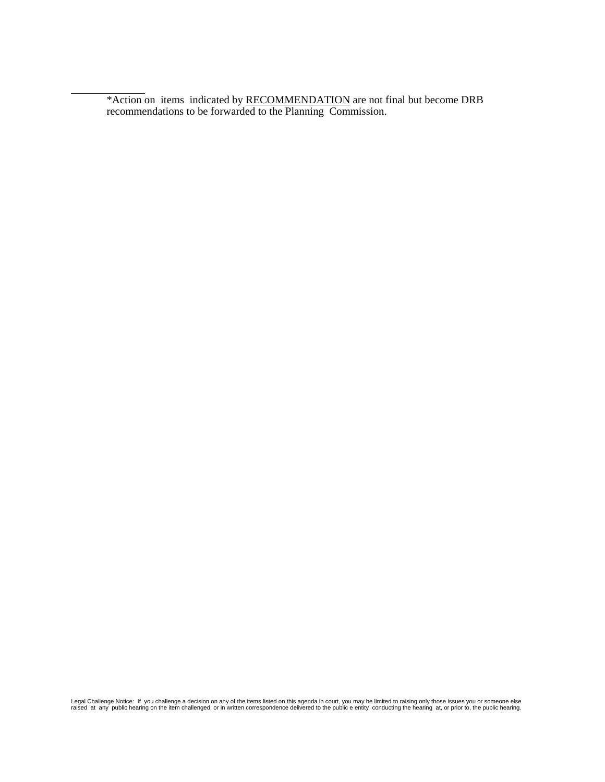\*Action on items indicated by **RECOMMENDATION** are not final but become DRB recommendations to be forwarded to the Planning Commission.

l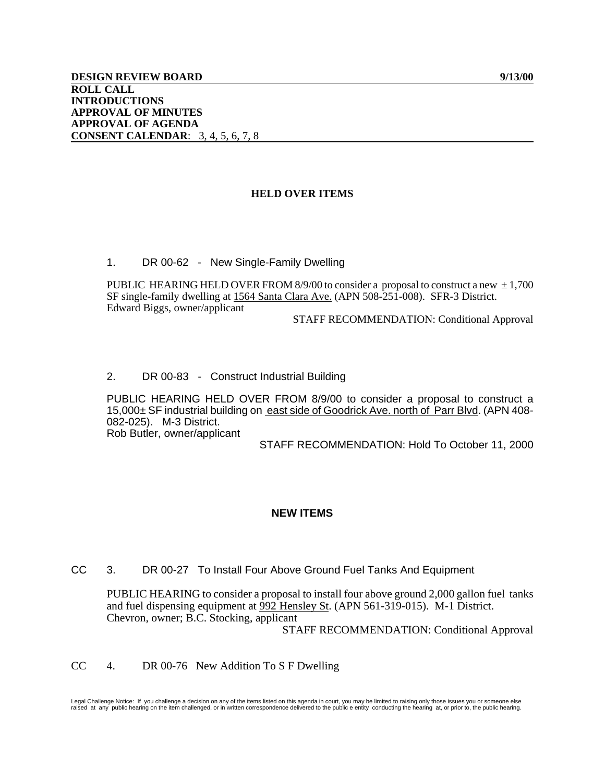### **HELD OVER ITEMS**

#### 1. DR 00-62 - New Single-Family Dwelling

PUBLIC HEARING HELD OVER FROM 8/9/00 to consider a proposal to construct a new  $\pm 1,700$ SF single-family dwelling at 1564 Santa Clara Ave. (APN 508-251-008). SFR-3 District. Edward Biggs, owner/applicant

STAFF RECOMMENDATION: Conditional Approval

### 2. DR 00-83 - Construct Industrial Building

PUBLIC HEARING HELD OVER FROM 8/9/00 to consider a proposal to construct a 15,000± SF industrial building on east side of Goodrick Ave. north of Parr Blvd. (APN 408- 082-025). M-3 District. Rob Butler, owner/applicant

STAFF RECOMMENDATION: Hold To October 11, 2000

# **NEW ITEMS**

CC 3. DR 00-27 To Install Four Above Ground Fuel Tanks And Equipment

PUBLIC HEARING to consider a proposal to install four above ground 2,000 gallon fuel tanks and fuel dispensing equipment at  $\frac{992}{92}$  Hensley St. (APN 561-319-015). M-1 District. Chevron, owner; B.C. Stocking, applicant STAFF RECOMMENDATION: Conditional Approval

## CC 4. DR 00-76 New Addition To S F Dwelling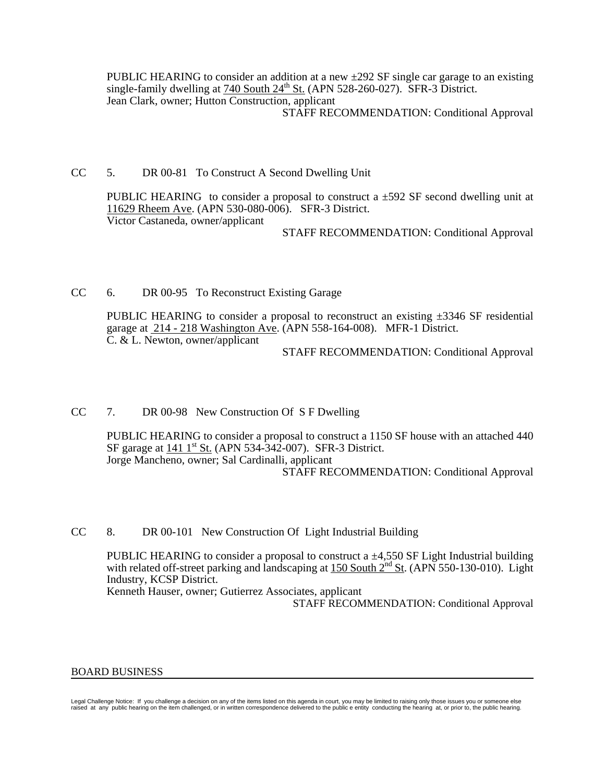PUBLIC HEARING to consider an addition at a new  $\pm 292$  SF single car garage to an existing single-family dwelling at  $740$  South  $24<sup>th</sup>$  St. (APN 528-260-027). SFR-3 District. Jean Clark, owner; Hutton Construction, applicant STAFF RECOMMENDATION: Conditional Approval

CC 5. DR 00-81 To Construct A Second Dwelling Unit

PUBLIC HEARING to consider a proposal to construct a  $\pm 592$  SF second dwelling unit at 11629 Rheem Ave. (APN 530-080-006). SFR-3 District. Victor Castaneda, owner/applicant

STAFF RECOMMENDATION: Conditional Approval

CC 6. DR 00-95 To Reconstruct Existing Garage

PUBLIC HEARING to consider a proposal to reconstruct an existing  $\pm 3346$  SF residential garage at 214 - 218 Washington Ave. (APN 558-164-008). MFR-1 District. C. & L. Newton, owner/applicant STAFF RECOMMENDATION: Conditional Approval

CC 7. DR 00-98 New Construction Of S F Dwelling

PUBLIC HEARING to consider a proposal to construct a 1150 SF house with an attached 440 SF garage at 141 1<sup>st</sup> St. (APN 534-342-007). SFR-3 District. Jorge Mancheno, owner; Sal Cardinalli, applicant STAFF RECOMMENDATION: Conditional Approval

CC 8. DR 00-101 New Construction Of Light Industrial Building

PUBLIC HEARING to consider a proposal to construct a  $\pm 4,550$  SF Light Industrial building with related off-street parking and landscaping at 150 South  $2<sup>nd</sup>$  St. (APN 550-130-010). Light Industry, KCSP District. Kenneth Hauser, owner; Gutierrez Associates, applicant

STAFF RECOMMENDATION: Conditional Approval

### BOARD BUSINESS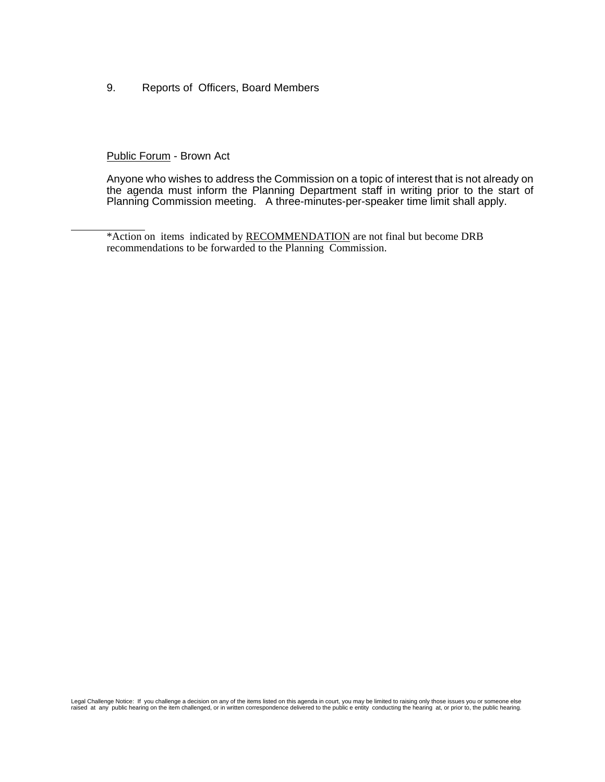9. Reports of Officers, Board Members

Public Forum - Brown Act

l

Anyone who wishes to address the Commission on a topic of interest that is not already on the agenda must inform the Planning Department staff in writing prior to the start of Planning Commission meeting. A three-minutes-per-speaker time limit shall apply.

\*Action on items indicated by **RECOMMENDATION** are not final but become DRB recommendations to be forwarded to the Planning Commission.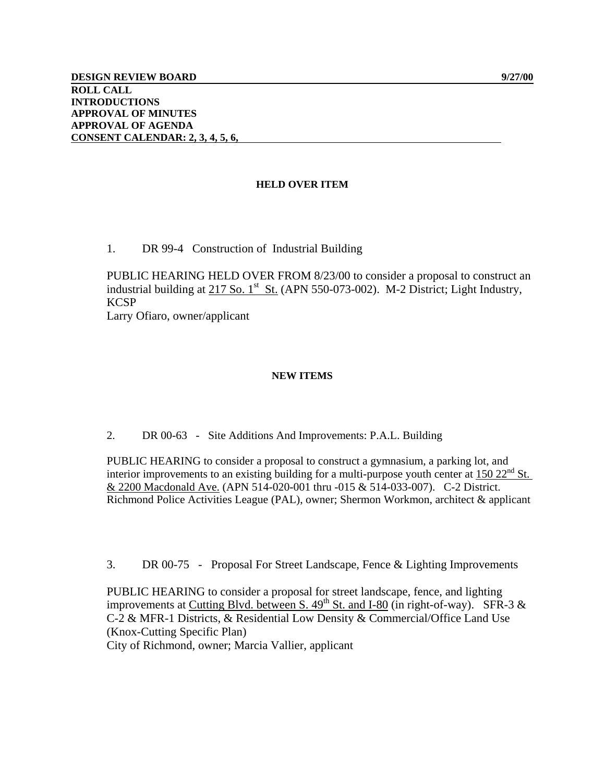# **HELD OVER ITEM**

1. DR 99-4 Construction of Industrial Building

PUBLIC HEARING HELD OVER FROM 8/23/00 to consider a proposal to construct an industrial building at 217 So.  $1<sup>st</sup>$  St. (APN 550-073-002). M-2 District; Light Industry, **KCSP** Larry Ofiaro, owner/applicant

**NEW ITEMS**

2. DR 00-63 - Site Additions And Improvements: P.A.L. Building

PUBLIC HEARING to consider a proposal to construct a gymnasium, a parking lot, and interior improvements to an existing building for a multi-purpose youth center at  $150 22<sup>nd</sup>$  St. & 2200 Macdonald Ave. (APN 514-020-001 thru -015 & 514-033-007). C-2 District. Richmond Police Activities League (PAL), owner; Shermon Workmon, architect & applicant

3. DR 00-75 - Proposal For Street Landscape, Fence & Lighting Improvements

PUBLIC HEARING to consider a proposal for street landscape, fence, and lighting improvements at Cutting Blvd. between S.  $49<sup>th</sup>$  St. and I-80 (in right-of-way). SFR-3 & C-2 & MFR-1 Districts, & Residential Low Density & Commercial/Office Land Use (Knox-Cutting Specific Plan) City of Richmond, owner; Marcia Vallier, applicant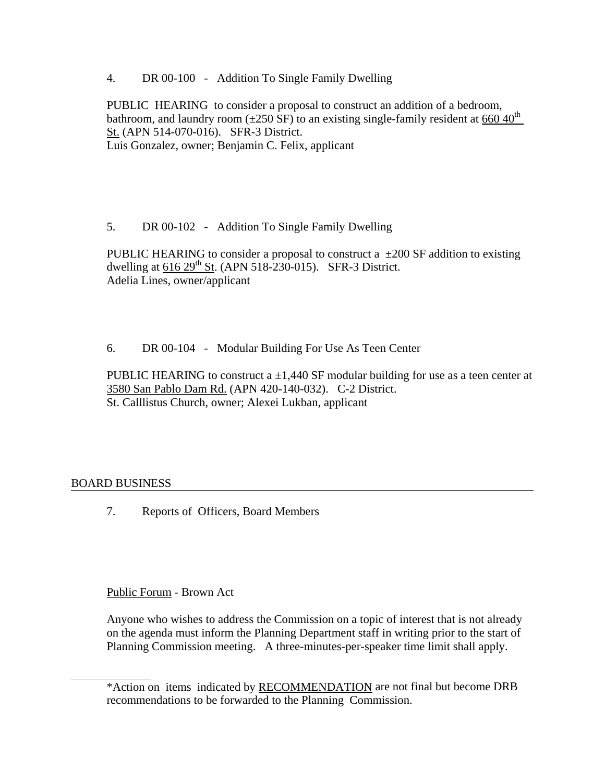4. DR 00-100 - Addition To Single Family Dwelling

PUBLIC HEARING to consider a proposal to construct an addition of a bedroom, bathroom, and laundry room ( $\pm$ 250 SF) to an existing single-family resident at 660 40<sup>th</sup> St. (APN 514-070-016). SFR-3 District. Luis Gonzalez, owner; Benjamin C. Felix, applicant

5. DR 00-102 - Addition To Single Family Dwelling

PUBLIC HEARING to consider a proposal to construct a  $\pm 200$  SF addition to existing dwelling at  $616\,29^{th}$  St. (APN 518-230-015). SFR-3 District. Adelia Lines, owner/applicant

6. DR 00-104 - Modular Building For Use As Teen Center

PUBLIC HEARING to construct a  $\pm 1,440$  SF modular building for use as a teen center at 3580 San Pablo Dam Rd. (APN 420-140-032). C-2 District. St. Calllistus Church, owner; Alexei Lukban, applicant

# BOARD BUSINESS

 $\overline{a}$ 

7. Reports of Officers, Board Members

Public Forum - Brown Act

Anyone who wishes to address the Commission on a topic of interest that is not already on the agenda must inform the Planning Department staff in writing prior to the start of Planning Commission meeting. A three-minutes-per-speaker time limit shall apply.

<sup>\*</sup>Action on items indicated by RECOMMENDATION are not final but become DRB recommendations to be forwarded to the Planning Commission.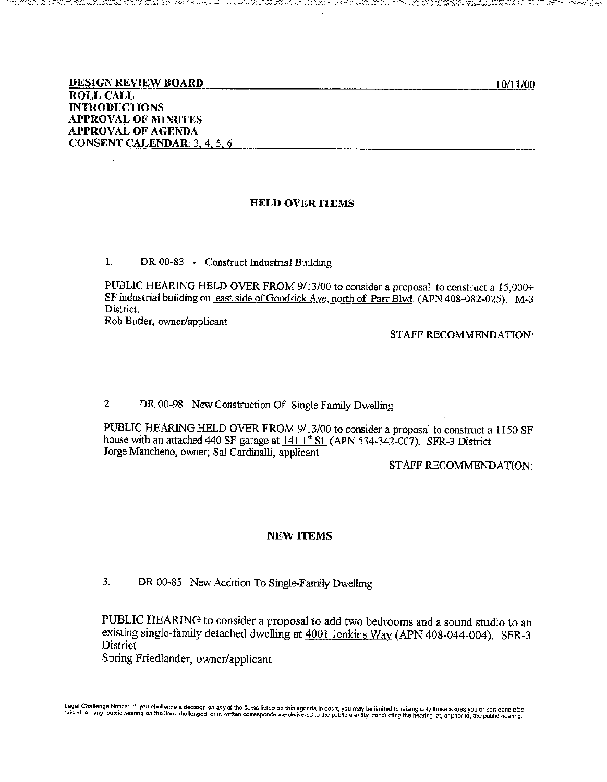10/11/00

## **HELD OVER ITEMS**

 $\mathbf{1}$ . DR 00-83 - Construct Industrial Building

PUBLIC HEARING HELD OVER FROM 9/13/00 to consider a proposal to construct a 15,000+ SF industrial building on east side of Goodrick Ave. north of Parr Blvd. (APN 408-082-025). M-3 District. Rob Butler, owner/applicant

**STAFF RECOMMENDATION:** 

 $2.$ DR 00-98 New Construction Of Single Family Dwelling

PUBLIC HEARING HELD OVER FROM 9/13/00 to consider a proposal to construct a 1150 SF house with an attached 440 SF garage at 141 1st St. (APN 534-342-007). SFR-3 District. Jorge Mancheno, owner, Sal Cardinalli, applicant

**STAFF RECOMMENDATION:** 

### **NEW ITEMS**

DR 00-85 New Addition To Single-Family Dwelling 3.

PUBLIC HEARING to consider a proposal to add two bedrooms and a sound studio to an existing single-family detached dwelling at 4001 Jenkins Way (APN 408-044-004). SFR-3 District

Spring Friedlander, owner/applicant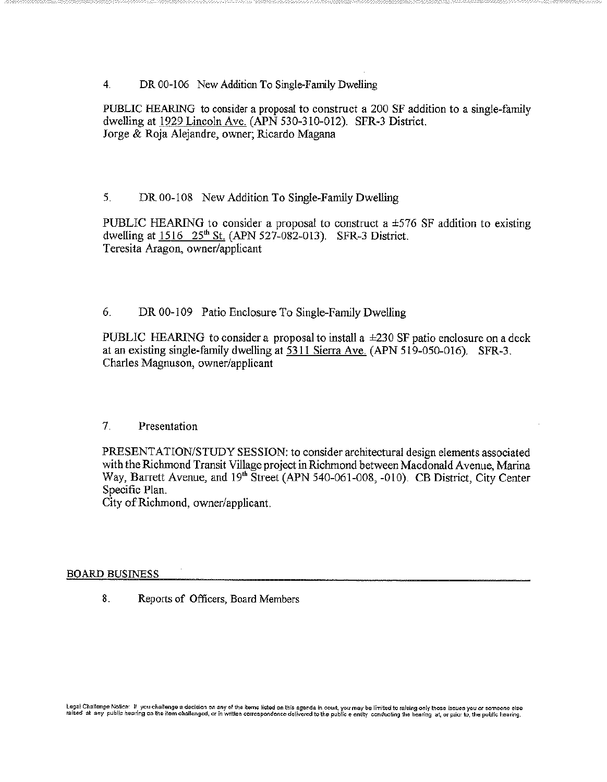DR 00-106 New Addition To Single-Family Dwelling  $\overline{4}$ 

PUBLIC HEARING to consider a proposal to construct a 200 SF addition to a single-family dwelling at 1929 Lincoln Ave. (APN 530-310-012). SFR-3 District. Jorge & Roja Alejandre, owner; Ricardo Magana

5. DR 00-108 New Addition To Single-Family Dwelling

PUBLIC HEARING to consider a proposal to construct a  $\pm$ 576 SF addition to existing dwelling at  $1516 \t25<sup>th</sup>$  St. (APN 527-082-013). SFR-3 District. Teresita Aragon, owner/applicant

#### 6. DR 00-109 Patio Enclosure To Single-Family Dwelling

PUBLIC HEARING to consider a proposal to install a  $\pm 230$  SF patio enclosure on a deck at an existing single-family dwelling at 5311 Sierra Ave. (APN 519-050-016). SFR-3. Charles Magnuson, owner/applicant

#### $7<sub>1</sub>$ Presentation

PRESENTATION/STUDY SESSION: to consider architectural design elements associated with the Richmond Transit Village project in Richmond between Macdonald Avenue, Marina Way, Barrett Avenue, and 19th Street (APN 540-061-008, -010). CB District, City Center Specific Plan.

City of Richmond, owner/applicant.

### **BOARD BUSINESS**

8. Reports of Officers, Board Members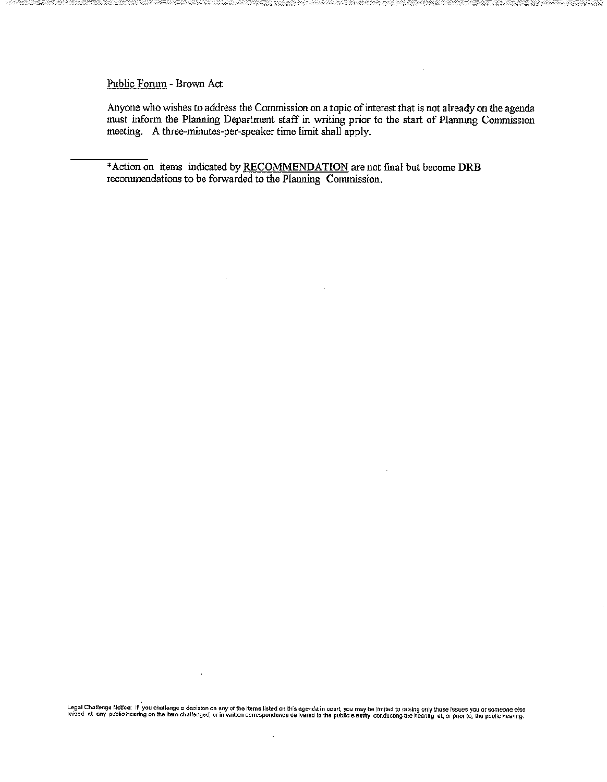Public Forum - Brown Act

Anyone who wishes to address the Commission on a topic of interest that is not already on the agenda must inform the Planning Department staff in writing prior to the start of Planning Commission meeting. A three-minutes-per-speaker time limit shall apply.

\*Action on items indicated by RECOMMENDATION are not final but become DRB recommendations to be forwarded to the Planning Commission.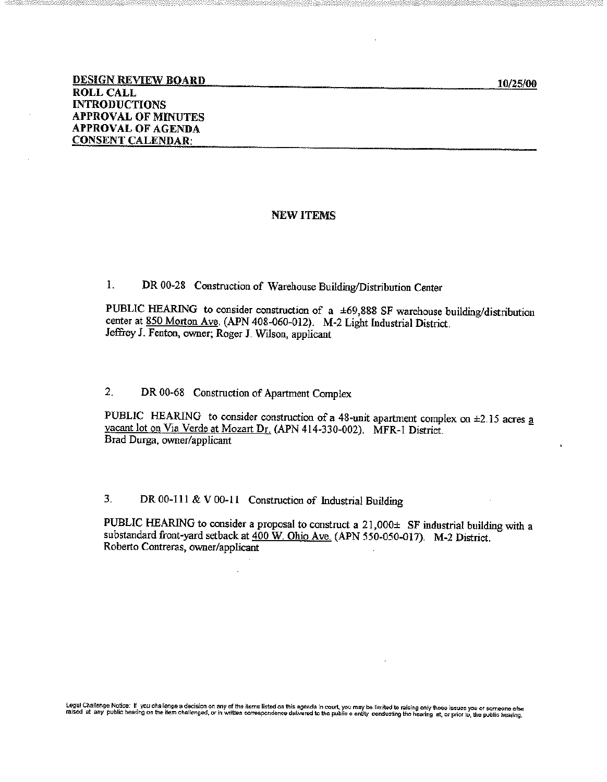# **NEW ITEMS**

 $\mathbf{1}$ . DR 00-28 Construction of Warehouse Building/Distribution Center

PUBLIC HEARING to consider construction of a  $\pm 69,888$  SF warehouse building/distribution center at 850 Morton Ave. (APN 408-060-012). M-2 Light Industrial District. Jeffrey J. Fenton, owner; Roger J. Wilson, applicant

#### $2.$ DR 00-68 Construction of Apartment Complex

PUBLIC HEARING to consider construction of a 48-unit apartment complex on  $\pm 2.15$  acres a vacant lot on Via Verde at Mozart Dr. (APN 414-330-002). MFR-1 District. Brad Durga, owner/applicant

 $3<sub>1</sub>$ DR 00-111 & V 00-11 Construction of Industrial Building

PUBLIC HEARING to consider a proposal to construct a 21,000± SF industrial building with a substandard front-yard setback at 400 W. Ohio Ave. (APN 550-050-017). M-2 District. Roberto Contreras, owner/applicant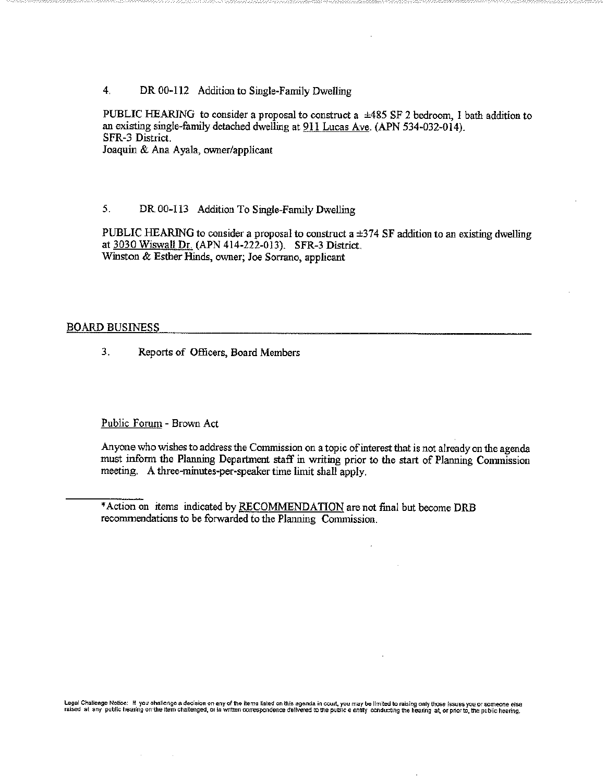$\ddot{4}$ . DR 00-112 Addition to Single-Family Dwelling

PUBLIC HEARING to consider a proposal to construct a  $\pm 485$  SF 2 bedroom, 1 bath addition to an existing single-family detached dwelling at 911 Lucas Ave. (APN 534-032-014). SFR-3 District. Joaquin & Ana Ayala, owner/applicant

 $5<sub>1</sub>$ DR 00-113 Addition To Single-Family Dwelling

PUBLIC HEARING to consider a proposal to construct  $a \pm 374$  SF addition to an existing dwelling at 3030 Wiswall Dr. (APN 414-222-013). SFR-3 District. Winston & Esther Hinds, owner; Joe Sorrano, applicant

### **BOARD BUSINESS**

 $3<sub>1</sub>$ Reports of Officers, Board Members

Public Forum - Brown Act

Anyone who wishes to address the Commission on a topic of interest that is not already on the agenda must inform the Planning Department staff in writing prior to the start of Planning Commission meeting. A three-minutes-per-speaker time limit shall apply.

\*Action on items indicated by RECOMMENDATION are not final but become DRB recommendations to be forwarded to the Planning Commission.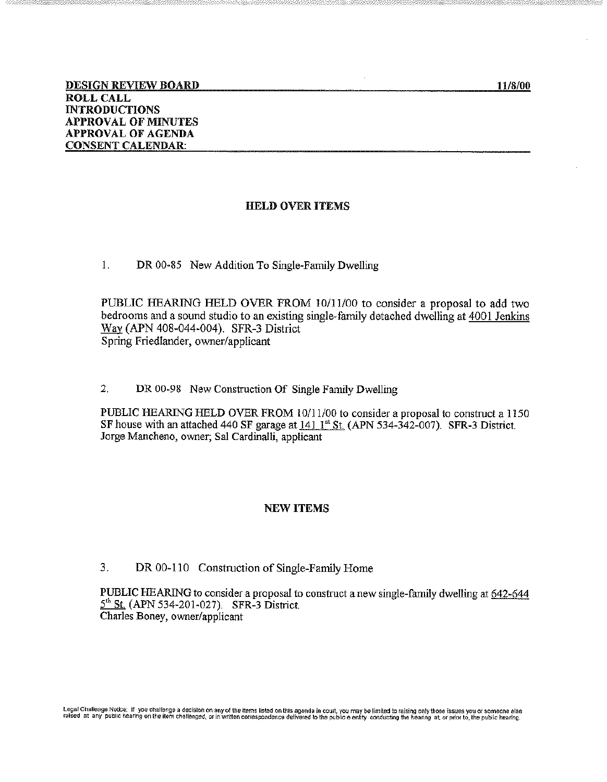# **HELD OVER ITEMS**

 $\mathbf{1}$ . DR 00-85 New Addition To Single-Family Dwelling

PUBLIC HEARING HELD OVER FROM 10/11/00 to consider a proposal to add two bedrooms and a sound studio to an existing single-family detached dwelling at 4001 Jenkins Way (APN 408-044-004). SFR-3 District Spring Friedlander, owner/applicant

#### $\overline{2}$ . DR 00-98 New Construction Of Single Family Dwelling

PUBLIC HEARING HELD OVER FROM 10/11/00 to consider a proposal to construct a 1150 SF house with an attached 440 SF garage at 141 I<sup>st</sup> St. (APN 534-342-007). SFR-3 District. Jorge Mancheno, owner; Sal Cardinalli, applicant

### **NEW ITEMS**

#### $3.$ DR 00-110 Construction of Single-Family Home

PUBLIC HEARING to consider a proposal to construct a new single-family dwelling at 642-644 5<sup>th</sup> St. (APN 534-201-027). SFR-3 District. Charles Boney, owner/applicant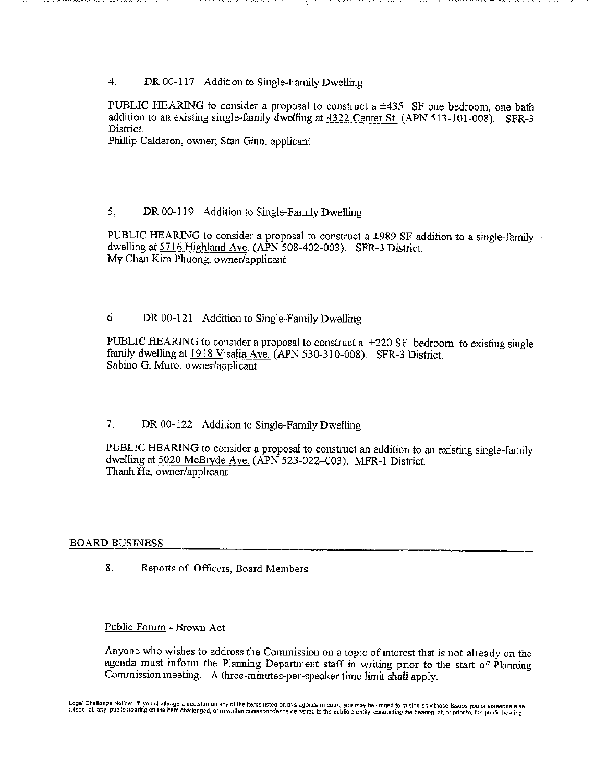$\overline{4}$ . DR 00-117 Addition to Single-Family Dwelling

PUBLIC HEARING to consider a proposal to construct a  $\pm 435$  SF one bedroom, one bath addition to an existing single-family dwelling at 4322 Center St. (APN 513-101-008). SFR-3 District.

Phillip Calderon, owner; Stan Ginn, applicant

#### 5. DR 00-119 Addition to Single-Family Dwelling

PUBLIC HEARING to consider a proposal to construct a ±989 SF addition to a single-family dwelling at 5716 Highland Ave. (APN 508-402-003). SFR-3 District. My Chan Kim Phuong, owner/applicant

#### 6. DR 00-121 Addition to Single-Family Dwelling

PUBLIC HEARING to consider a proposal to construct a  $\pm 220$  SF bedroom to existing single family dwelling at 1918 Visalia Ave. (APN 530-310-008). SFR-3 District. Sabino G. Muro, owner/applicant

#### 7. DR 00-122 Addition to Single-Family Dwelling

PUBLIC HEARING to consider a proposal to construct an addition to an existing single-family dwelling at 5020 McBryde Ave. (APN 523-022-003). MFR-1 District. Thanh Ha, owner/applicant

### **BOARD BUSINESS**

8. Reports of Officers, Board Members

### Public Forum - Brown Act

Anyone who wishes to address the Commission on a topic of interest that is not already on the agenda must inform the Planning Department staff in writing prior to the start of Planning Commission meeting. A three-minutes-per-speaker time limit shall apply.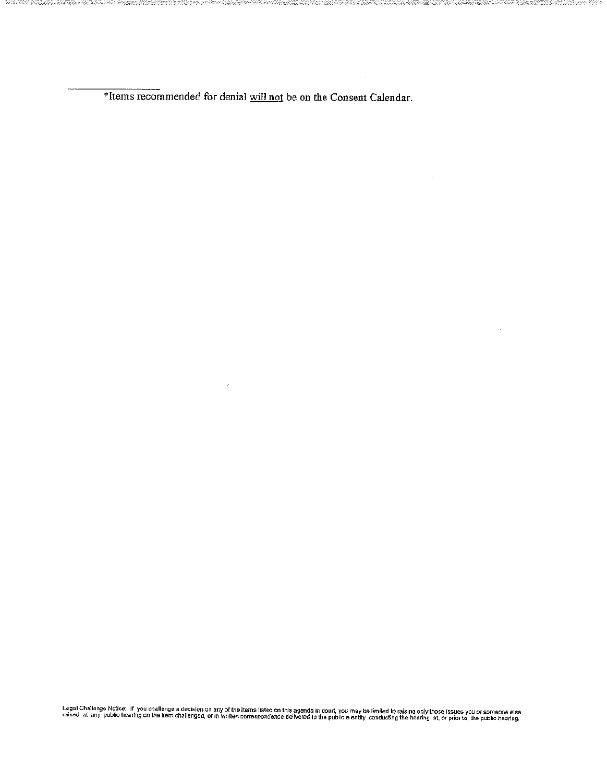\*Items recommended for denial will not be on the Consent Calendar.

 $\bar{J}$ 

 $\bar{z}$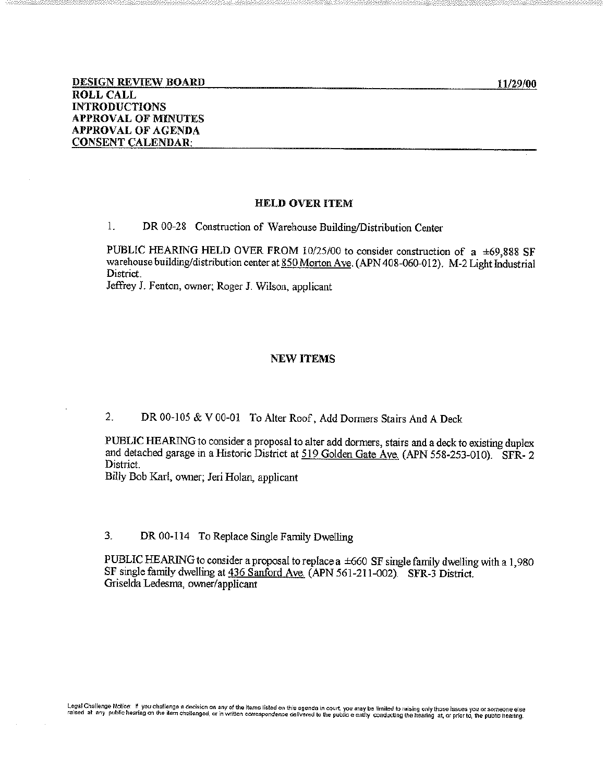#### **HELD OVER ITEM**

 $1<sub>1</sub>$ DR 00-28 Construction of Warehouse Building/Distribution Center

PUBLIC HEARING HELD OVER FROM 10/25/00 to consider construction of a ±69,888 SF warehouse building/distribution center at 850 Morton Aye, (APN 408-060-012). M-2 Light Industrial District.

Jeffrey J. Fenton, owner; Roger J. Wilson, applicant

# **NEW ITEMS**

 $2.$ DR 00-105 & V 00-01 To Alter Roof, Add Dormers Stairs And A Deck

PUBLIC HEARING to consider a proposal to alter add dormers, stairs and a deck to existing duplex and detached garage in a Historic District at 519 Golden Gate Ave. (APN 558-253-010). SFR-2 District.

Billy Bob Karl, owner; Jeri Holan, applicant

#### $3.$ DR 00-114 To Replace Single Family Dwelling

PUBLIC HEARING to consider a proposal to replace a  $\pm 660$  SF single family dwelling with a 1,980 SF single family dwelling at 436 Sanford Ave. (APN 561-211-002). SFR-3 District. Griselda Ledesma, owner/applicant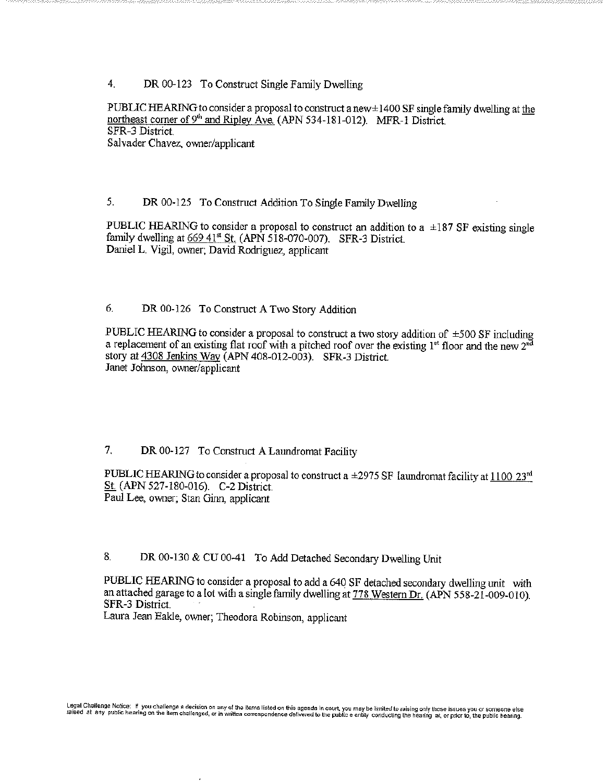#### $\overline{4}$ . DR 00-123 To Construct Single Family Dwelling

PUBLIC HEARING to consider a proposal to construct a new ±1400 SF single family dwelling at the northeast corner of 9<sup>th</sup> and Ripley Ave. (APN 534-181-012). MFR-1 District. SFR-3 District. Salvader Chavez, owner/applicant

#### 5. DR 00-125 To Construct Addition To Single Family Dwelling

PUBLIC HEARING to consider a proposal to construct an addition to a  $\pm 187$  SF existing single family dwelling at  $669.41^{\text{st}}$  St. (APN 518-070-007). SFR-3 District. Daniel L. Vigil, owner; David Rodriguez, applicant

#### 6. DR 00-126 To Construct A Two Story Addition

PUBLIC HEARING to consider a proposal to construct a two story addition of  $\pm 500$  SF including a replacement of an existing flat roof with a pitched roof over the existing  $1<sup>st</sup>$  floor and the new  $2<sup>nd</sup>$ story at 4308 Jenkins Way (APN 408-012-003). SFR-3 District. Janet Johnson, owner/applicant

#### $7.$ DR 00-127 To Construct A Laundromat Facility

PUBLIC HEARING to consider a proposal to construct a  $\pm$ 2975 SF laundromat facility at 1100 23rd St. (APN 527-180-016). C-2 District. Paul Lee, owner; Stan Ginn, applicant

#### 8. DR 00-130 & CU 00-41 To Add Detached Secondary Dwelling Unit

PUBLIC HEARING to consider a proposal to add a 640 SF detached secondary dwelling unit with an attached garage to a lot with a single family dwelling at 778 Western Dr. (APN 558-21-009-010). SFR-3 District.

Laura Jean Eakle, owner; Theodora Robinson, applicant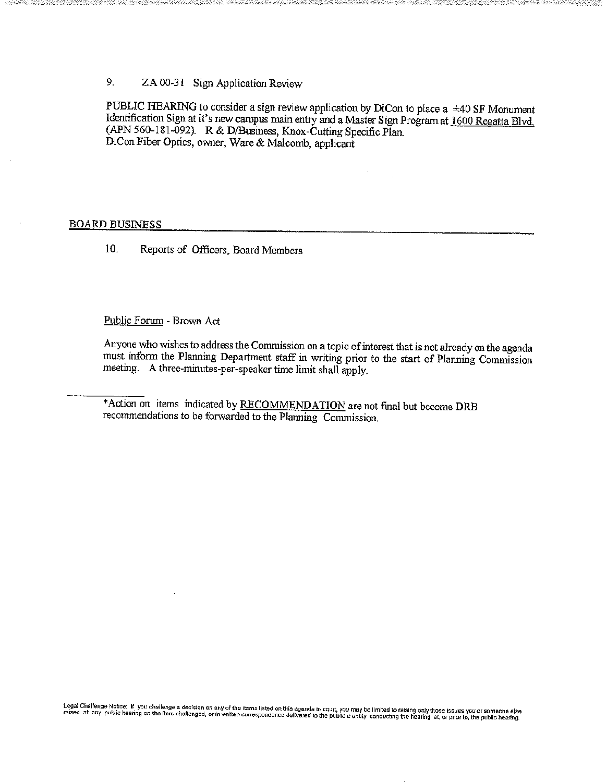9. ZA 00-31 Sign Application Review

PUBLIC HEARING to consider a sign review application by DiCon to place a ±40 SF Monument Identification Sign at it's new campus main entry and a Master Sign Program at 1600 Regatta Blvd. (APN 560-181-092). R & D/Business, Knox-Cutting Specific Plan. DiCon Fiber Optics, owner; Ware & Malcomb, applicant

 $\mathcal{L}$ 

#### **BOARD BUSINESS**

 $10.$ Reports of Officers, Board Members

#### Public Forum - Brown Act

Anyone who wishes to address the Commission on a topic of interest that is not already on the agenda must inform the Planning Department staff in writing prior to the start of Planning Commission meeting. A three-minutes-per-speaker time limit shall apply.

\*Action on items indicated by RECOMMENDATION are not final but become DRB recommendations to be forwarded to the Planning Commission.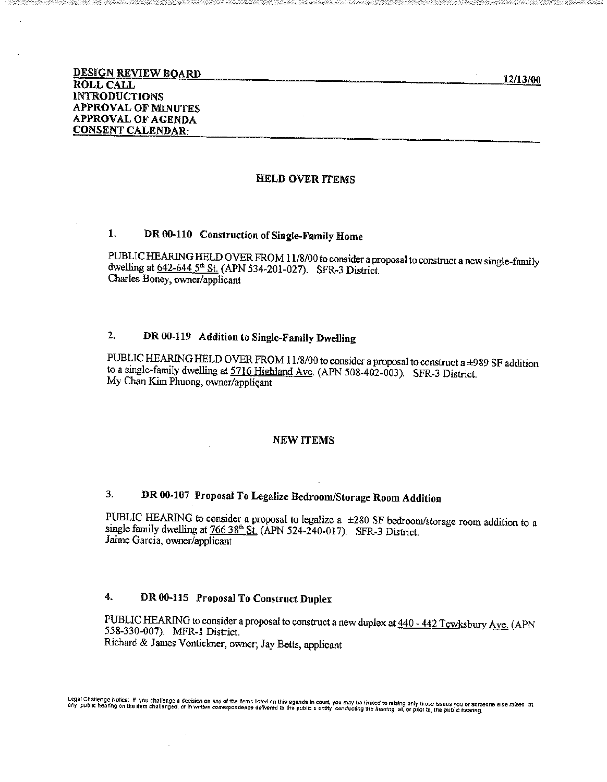## **HELD OVER ITEMS**

#### DR 00-110 Construction of Single-Family Home 1.

PUBLIC HEARING HELD OVER FROM 11/8/00 to consider a proposal to construct a new single-family dwelling at 642-644 5<sup>th</sup> St. (APN 534-201-027). SFR-3 District. Charles Boney, owner/applicant

#### $2.$ DR 00-119 Addition to Single-Family Dwelling

PUBLIC HEARING HELD OVER FROM 11/8/00 to consider a proposal to construct a ±989 SF addition to a single-family dwelling at 5716 Highland Ave. (APN 508-402-003). SFR-3 District. My Chan Kim Phuong, owner/applicant

#### **NEW ITEMS**

#### DR 00-107 Proposal To Legalize Bedroom/Storage Room Addition 3.

PUBLIC HEARING to consider a proposal to legalize a  $\pm 280$  SF bedroom/storage room addition to a single family dwelling at 766.38<sup>th</sup> St. (APN 524-240-017). SFR-3 District. Jaime Garcia, owner/applicant

#### 4. DR 00-115 Proposal To Construct Duplex

PUBLIC HEARING to consider a proposal to construct a new duplex at 440 - 442 Tewksbury Aye. (APN 558-330-007). MFR-1 District. Richard & James Vontickner, owner; Jay Betts, applicant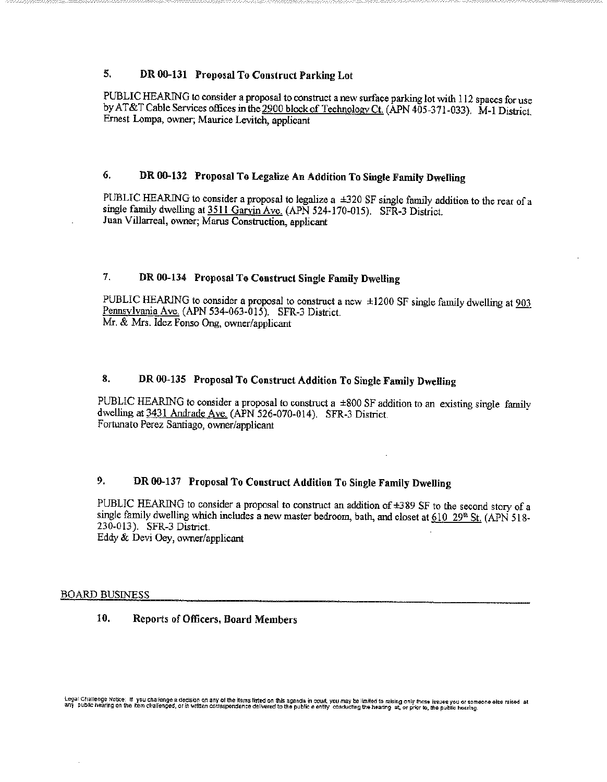#### 5. DR 00-131 Proposal To Construct Parking Lot

PUBLIC HEARING to consider a proposal to construct a new surface parking lot with 112 spaces for use by AT&T Cable Services offices in the 2900 block of Technology Ct. (APN 405-371-033). M-1 District. Ernest Lompa, owner; Maurice Levitch, applicant

#### 6. DR 00-132 Proposal To Legalize An Addition To Single Family Dwelling

PUBLIC HEARING to consider a proposal to legalize a  $\pm 320$  SF single family addition to the rear of a single family dwelling at 3511 Garvin Ave. (APN 524-170-015). SFR-3 District. Juan Villarreal, owner; Marus Construction, applicant

#### 7. DR 00-134 Proposal To Construct Single Family Dwelling

PUBLIC HEARING to consider a proposal to construct a new ±1200 SF single family dwelling at 903 Pennsylvania Ave. (APN 534-063-015). SFR-3 District. Mr. & Mrs. Idez Fonso Ong, owner/applicant

#### 8. DR 00-135 Proposal To Construct Addition To Single Family Dwelling

PUBLIC HEARING to consider a proposal to construct a  $\pm 800$  SF addition to an existing single family dwelling at 3431 Andrade Ave. (APN 526-070-014). SFR-3 District. Fortunato Perez Santiago, owner/applicant

#### 9. DR 00-137 Proposal To Construct Addition To Single Family Dwelling

PUBLIC HEARING to consider a proposal to construct an addition of ±389 SF to the second story of a single family dwelling which includes a new master bedroom, bath, and closet at 610 29<sup>th</sup> St. (APN 518-230-013). SFR-3 District.

Eddy & Devi Oey, owner/applicant

**BOARD BUSINESS** 

10. **Reports of Officers, Board Members**